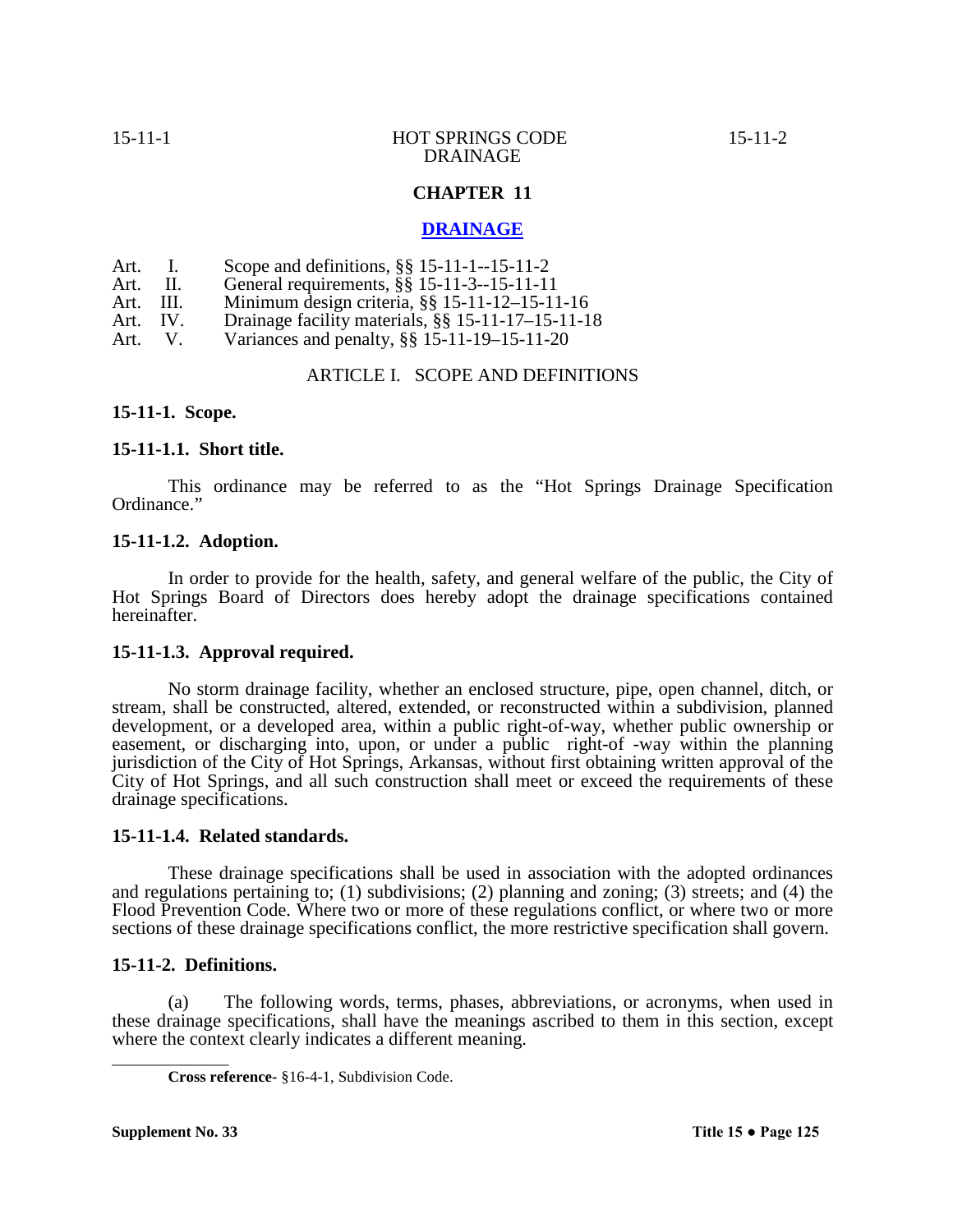# **CHAPTER 11**

# **DRAINAGE**

- Art. I. Scope and definitions, §§ 15-11-1--15-11-2<br>Art. II. General requirements, §§ 15-11-3--15-11-11
- Art. II. General requirements,  $\S$ § 15-11-3--15-11-11<br>Art III Minimum design criteria 88 15-11-12-15-11
- Art. III. Minimum design criteria, §§ 15-11-12–15-11-16<br>Art. IV. Drainage facility materials, §§ 15-11-17–15-11-1
- Art. IV. Drainage facility materials, §§ 15-11-17-15-11-18<br>Art. V. Variances and penalty, §§ 15-11-19-15-11-20

Variances and penalty,  $\S$ § 15-11-19–15-11-20

# ARTICLE I. SCOPE AND DEFINITIONS

**15-11-1. Scope.**

# **15-11-1.1. Short title.**

This ordinance may be referred to as the "Hot Springs Drainage Specification Ordinance."

# **15-11-1.2. Adoption.**

In order to provide for the health, safety, and general welfare of the public, the City of Hot Springs Board of Directors does hereby adopt the drainage specifications contained hereinafter.

# **15-11-1.3. Approval required.**

No storm drainage facility, whether an enclosed structure, pipe, open channel, ditch, or stream, shall be constructed, altered, extended, or reconstructed within a subdivision, planned development, or a developed area, within a public right-of-way, whether public ownership or easement, or discharging into, upon, or under a public right-of -way within the planning jurisdiction of the City of Hot Springs, Arkansas, without first obtaining written approval of the City of Hot Springs, and all such construction shall meet or exceed the requirements of these drainage specifications.

# **15-11-1.4. Related standards.**

These drainage specifications shall be used in association with the adopted ordinances and regulations pertaining to; (1) subdivisions; (2) planning and zoning; (3) streets; and (4) the Flood Prevention Code. Where two or more of these regulations conflict, or where two or more sections of these drainage specifications conflict, the more restrictive specification shall govern.

# **15-11-2. Definitions.**

(a) The following words, terms, phases, abbreviations, or acronyms, when used in these drainage specifications, shall have the meanings ascribed to them in this section, except where the context clearly indicates a different meaning.

\_\_\_\_\_\_\_\_\_\_\_\_\_\_\_

**Cross reference-** §16-4-1, Subdivision Code.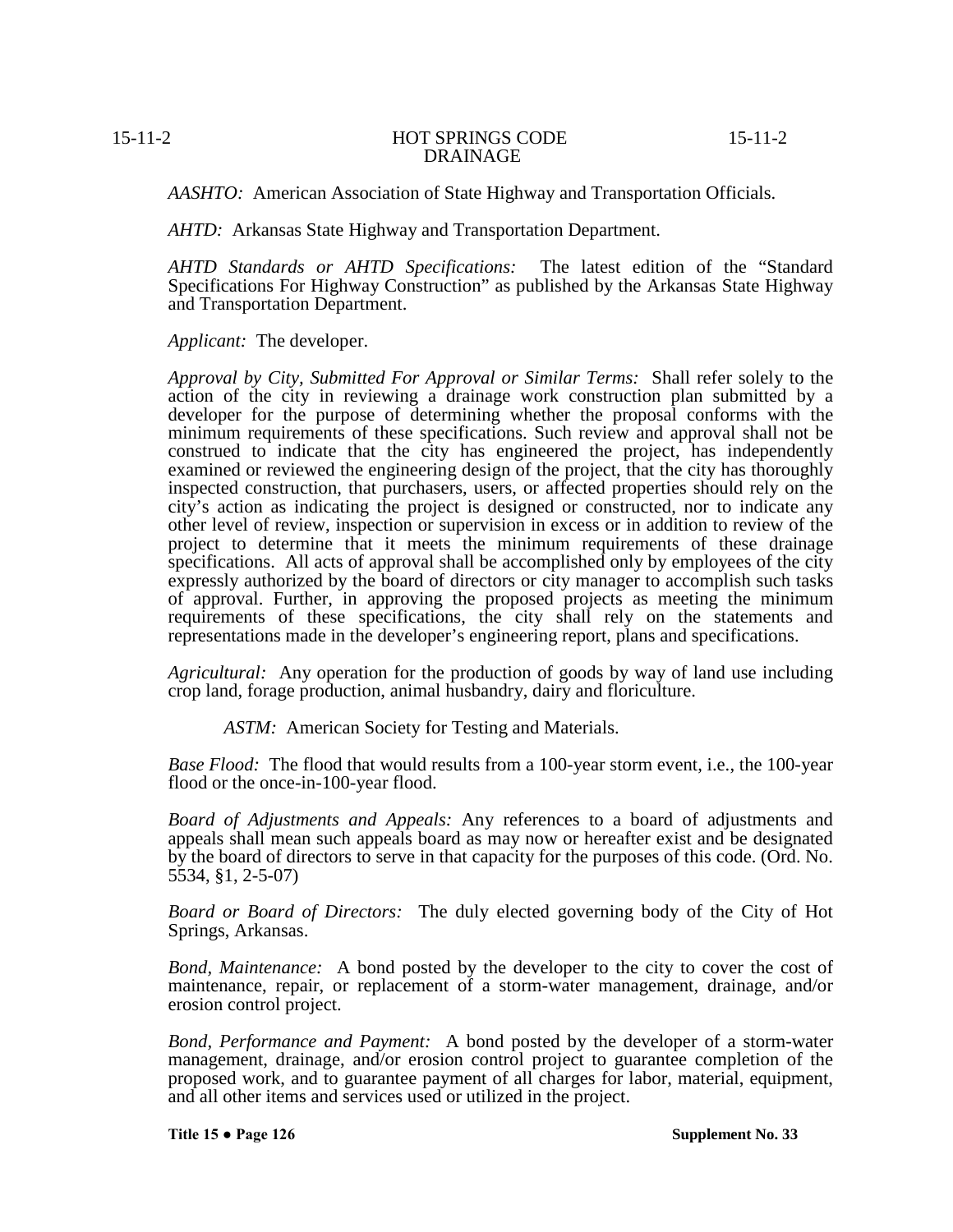*AASHTO:* American Association of State Highway and Transportation Officials.

*AHTD:* Arkansas State Highway and Transportation Department.

*AHTD Standards or AHTD Specifications:* The latest edition of the "Standard Specifications For Highway Construction" as published by the Arkansas State Highway and Transportation Department.

*Applicant:* The developer.

*Approval by City, Submitted For Approval or Similar Terms:* Shall refer solely to the action of the city in reviewing a drainage work construction plan submitted by a developer for the purpose of determining whether the proposal conforms with the minimum requirements of these specifications. Such review and approval shall not be construed to indicate that the city has engineered the project, has independently examined or reviewed the engineering design of the project, that the city has thoroughly inspected construction, that purchasers, users, or affected properties should rely on the city's action as indicating the project is designed or constructed, nor to indicate any other level of review, inspection or supervision in excess or in addition to review of the project to determine that it meets the minimum requirements of these drainage specifications. All acts of approval shall be accomplished only by employees of the city expressly authorized by the board of directors or city manager to accomplish such tasks of approval. Further, in approving the proposed projects as meeting the minimum requirements of these specifications, the city shall rely on the statements and representations made in the developer's engineering report, plans and specifications.

*Agricultural:* Any operation for the production of goods by way of land use including crop land, forage production, animal husbandry, dairy and floriculture.

*ASTM:* American Society for Testing and Materials.

*Base Flood:* The flood that would results from a 100-year storm event, i.e., the 100-year flood or the once-in-100-year flood.

*Board of Adjustments and Appeals:* Any references to a board of adjustments and appeals shall mean such appeals board as may now or hereafter exist and be designated by the board of directors to serve in that capacity for the purposes of this code. (Ord. No. 5534, §1, 2-5-07)

*Board or Board of Directors:* The duly elected governing body of the City of Hot Springs, Arkansas.

*Bond, Maintenance:* A bond posted by the developer to the city to cover the cost of maintenance, repair, or replacement of a storm-water management, drainage, and/or erosion control project.

*Bond, Performance and Payment:* A bond posted by the developer of a storm-water management, drainage, and/or erosion control project to guarantee completion of the proposed work, and to guarantee payment of all charges for labor, material, equipment, and all other items and services used or utilized in the project.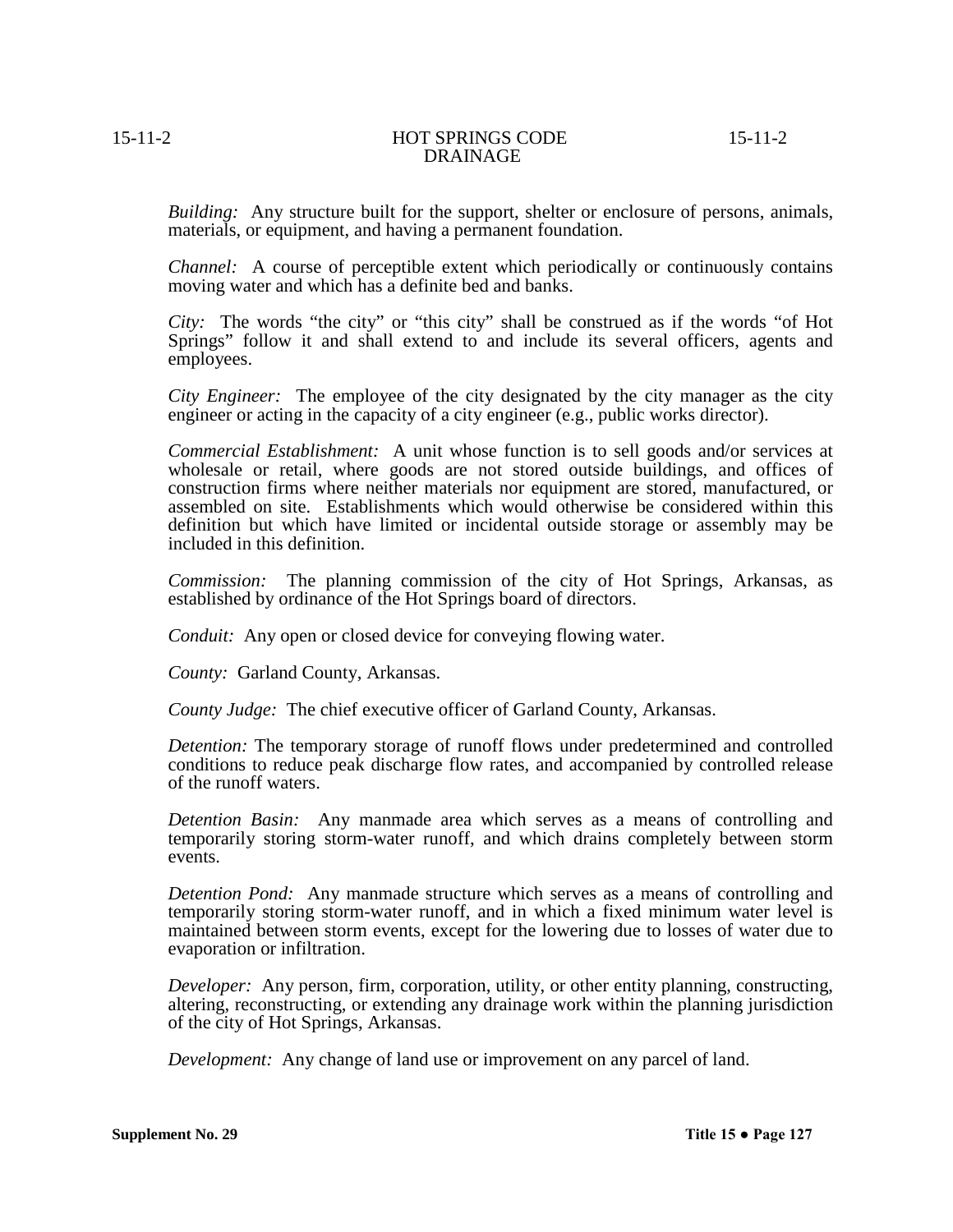*Building:* Any structure built for the support, shelter or enclosure of persons, animals, materials, or equipment, and having a permanent foundation.

*Channel:* A course of perceptible extent which periodically or continuously contains moving water and which has a definite bed and banks.

*City:* The words "the city" or "this city" shall be construed as if the words "of Hot Springs" follow it and shall extend to and include its several officers, agents and employees.

*City Engineer:* The employee of the city designated by the city manager as the city engineer or acting in the capacity of a city engineer (e.g., public works director).

*Commercial Establishment:* A unit whose function is to sell goods and/or services at wholesale or retail, where goods are not stored outside buildings, and offices of construction firms where neither materials nor equipment are stored, manufactured, or assembled on site. Establishments which would otherwise be considered within this definition but which have limited or incidental outside storage or assembly may be included in this definition.

*Commission:* The planning commission of the city of Hot Springs, Arkansas, as established by ordinance of the Hot Springs board of directors.

*Conduit:* Any open or closed device for conveying flowing water.

*County:* Garland County, Arkansas.

*County Judge:* The chief executive officer of Garland County, Arkansas.

*Detention:* The temporary storage of runoff flows under predetermined and controlled conditions to reduce peak discharge flow rates, and accompanied by controlled release of the runoff waters.

*Detention Basin:* Any manmade area which serves as a means of controlling and temporarily storing storm-water runoff, and which drains completely between storm events.

*Detention Pond:* Any manmade structure which serves as a means of controlling and temporarily storing storm-water runoff, and in which a fixed minimum water level is maintained between storm events, except for the lowering due to losses of water due to evaporation or infiltration.

*Developer:* Any person, firm, corporation, utility, or other entity planning, constructing, altering, reconstructing, or extending any drainage work within the planning jurisdiction of the city of Hot Springs, Arkansas.

*Development:* Any change of land use or improvement on any parcel of land.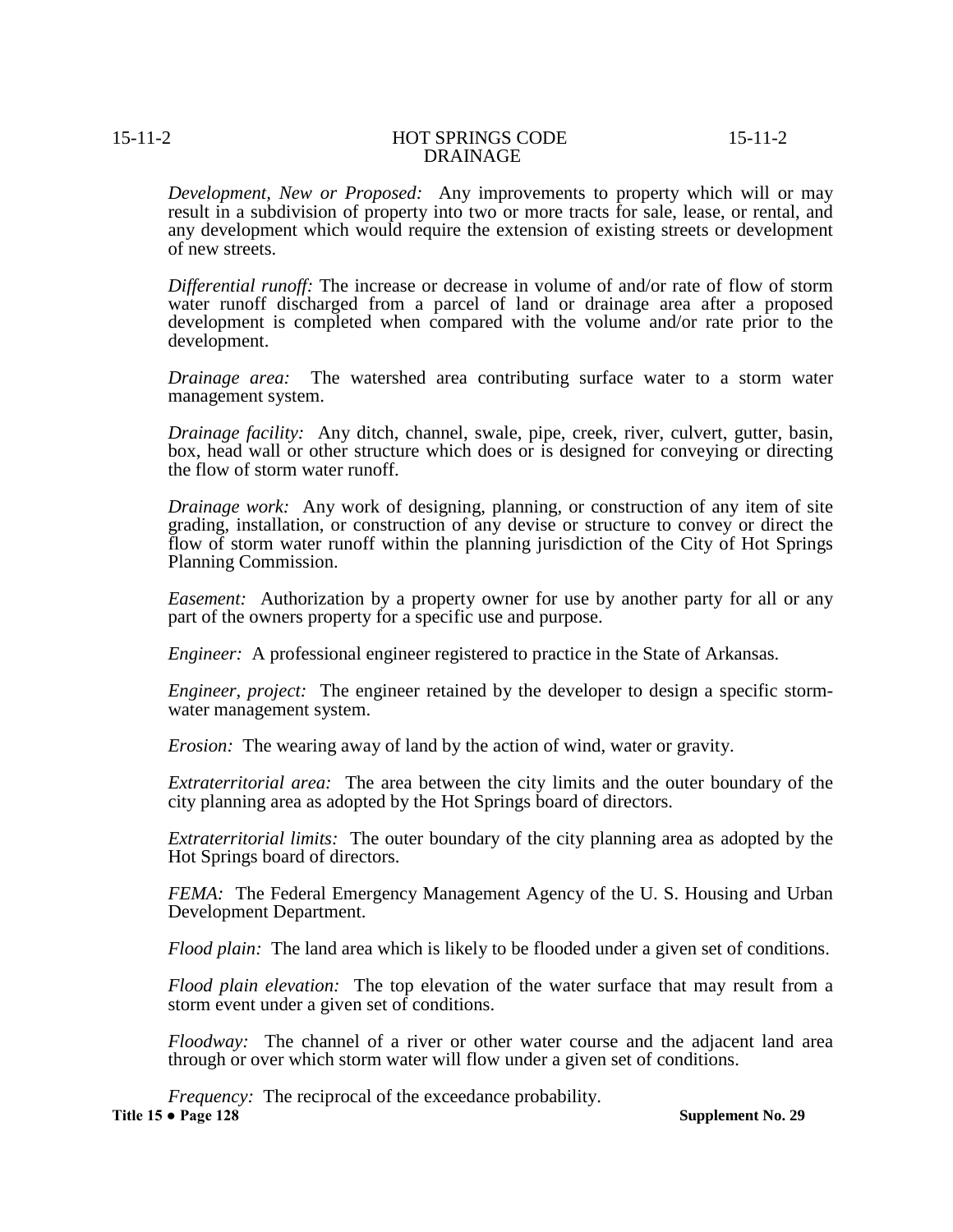*Development, New or Proposed:* Any improvements to property which will or may result in a subdivision of property into two or more tracts for sale, lease, or rental, and any development which would require the extension of existing streets or development of new streets.

*Differential runoff:* The increase or decrease in volume of and/or rate of flow of storm water runoff discharged from a parcel of land or drainage area after a proposed development is completed when compared with the volume and/or rate prior to the development.

*Drainage area:* The watershed area contributing surface water to a storm water management system.

*Drainage facility:* Any ditch, channel, swale, pipe, creek, river, culvert, gutter, basin, box, head wall or other structure which does or is designed for conveying or directing the flow of storm water runoff.

*Drainage work:* Any work of designing, planning, or construction of any item of site grading, installation, or construction of any devise or structure to convey or direct the flow of storm water runoff within the planning jurisdiction of the City of Hot Springs Planning Commission.

*Easement:* Authorization by a property owner for use by another party for all or any part of the owners property for a specific use and purpose.

*Engineer:* A professional engineer registered to practice in the State of Arkansas.

*Engineer, project:* The engineer retained by the developer to design a specific storm-water management system.

*Erosion:* The wearing away of land by the action of wind, water or gravity.

*Extraterritorial area:* The area between the city limits and the outer boundary of the city planning area as adopted by the Hot Springs board of directors.

*Extraterritorial limits:* The outer boundary of the city planning area as adopted by the Hot Springs board of directors.

*FEMA:* The Federal Emergency Management Agency of the U. S. Housing and Urban Development Department.

*Flood plain:* The land area which is likely to be flooded under a given set of conditions.

*Flood plain elevation:* The top elevation of the water surface that may result from a storm event under a given set of conditions.

*Floodway:* The channel of a river or other water course and the adjacent land area through or over which storm water will flow under a given set of conditions.

*Frequency:* The reciprocal of the exceedance probability. **Title 15 ● Page 128 Supplement No. 29**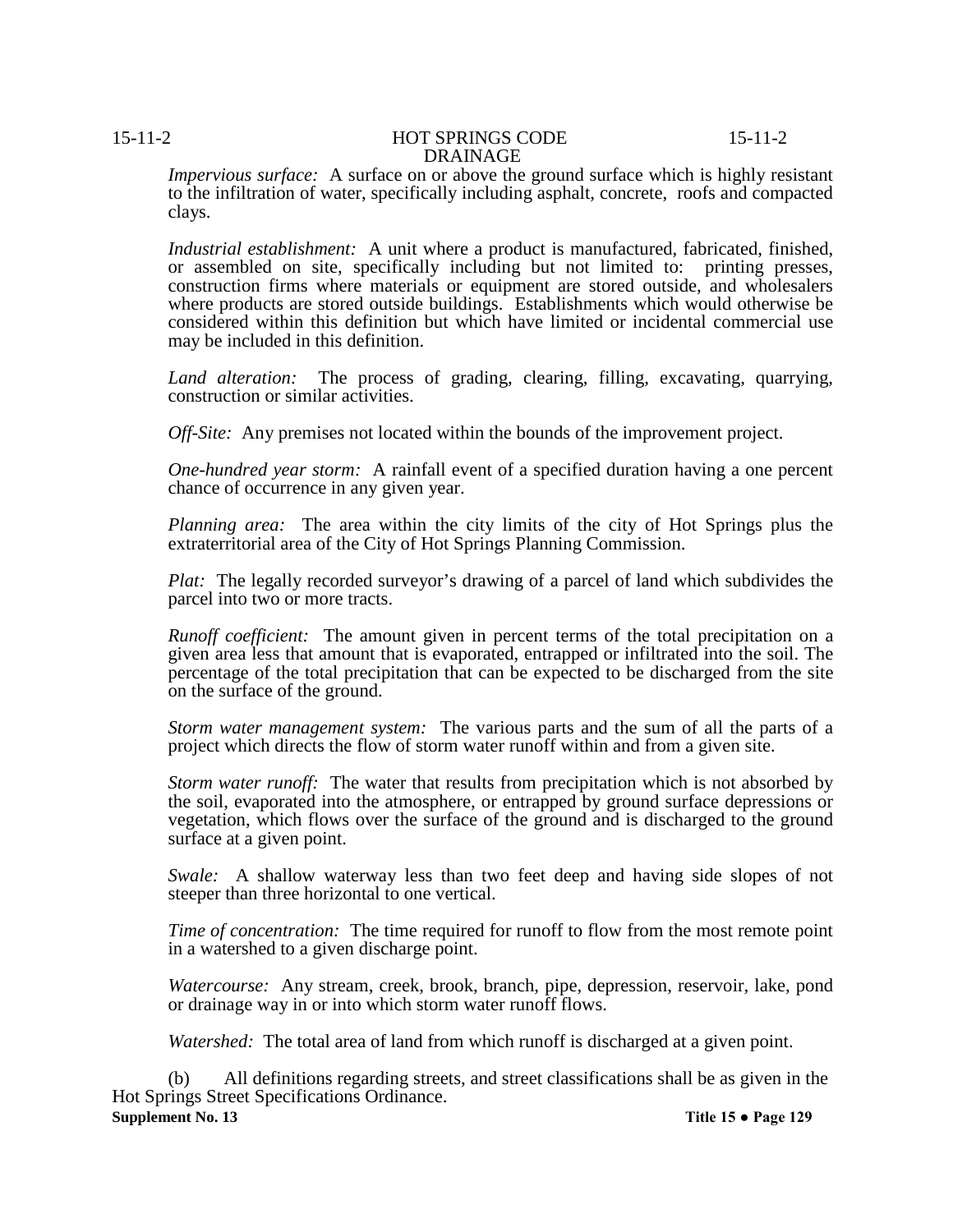*Impervious surface:* A surface on or above the ground surface which is highly resistant to the infiltration of water, specifically including asphalt, concrete, roofs and compacted clays.

*Industrial establishment:* A unit where a product is manufactured, fabricated, finished, or assembled on site, specifically including but not limited to: printing presses, construction firms where materials or equipment are stored outside, and wholesalers where products are stored outside buildings. Establishments which would otherwise be considered within this definition but which have limited or incidental commercial use may be included in this definition.

*Land alteration:* The process of grading, clearing, filling, excavating, quarrying, construction or similar activities.

*Off-Site:* Any premises not located within the bounds of the improvement project.

*One-hundred year storm:* A rainfall event of a specified duration having a one percent chance of occurrence in any given year.

*Planning area:* The area within the city limits of the city of Hot Springs plus the extraterritorial area of the City of Hot Springs Planning Commission.

*Plat:* The legally recorded surveyor's drawing of a parcel of land which subdivides the parcel into two or more tracts.

*Runoff coefficient:* The amount given in percent terms of the total precipitation on a given area less that amount that is evaporated, entrapped or infiltrated into the soil. The percentage of the total precipitation that can be expected to be discharged from the site on the surface of the ground.

*Storm water management system:* The various parts and the sum of all the parts of a project which directs the flow of storm water runoff within and from a given site.

*Storm water runoff:* The water that results from precipitation which is not absorbed by the soil, evaporated into the atmosphere, or entrapped by ground surface depressions or vegetation, which flows over the surface of the ground and is discharged to the ground surface at a given point.

*Swale:* A shallow waterway less than two feet deep and having side slopes of not steeper than three horizontal to one vertical.

*Time of concentration:* The time required for runoff to flow from the most remote point in a watershed to a given discharge point.

*Watercourse:* Any stream, creek, brook, branch, pipe, depression, reservoir, lake, pond or drainage way in or into which storm water runoff flows.

*Watershed:* The total area of land from which runoff is discharged at a given point.

All definitions regarding streets, and street classifications shall be as given in the Hot Springs Street Specifications Ordinance. **Supplement No. 13 Title 15 ● Page 129**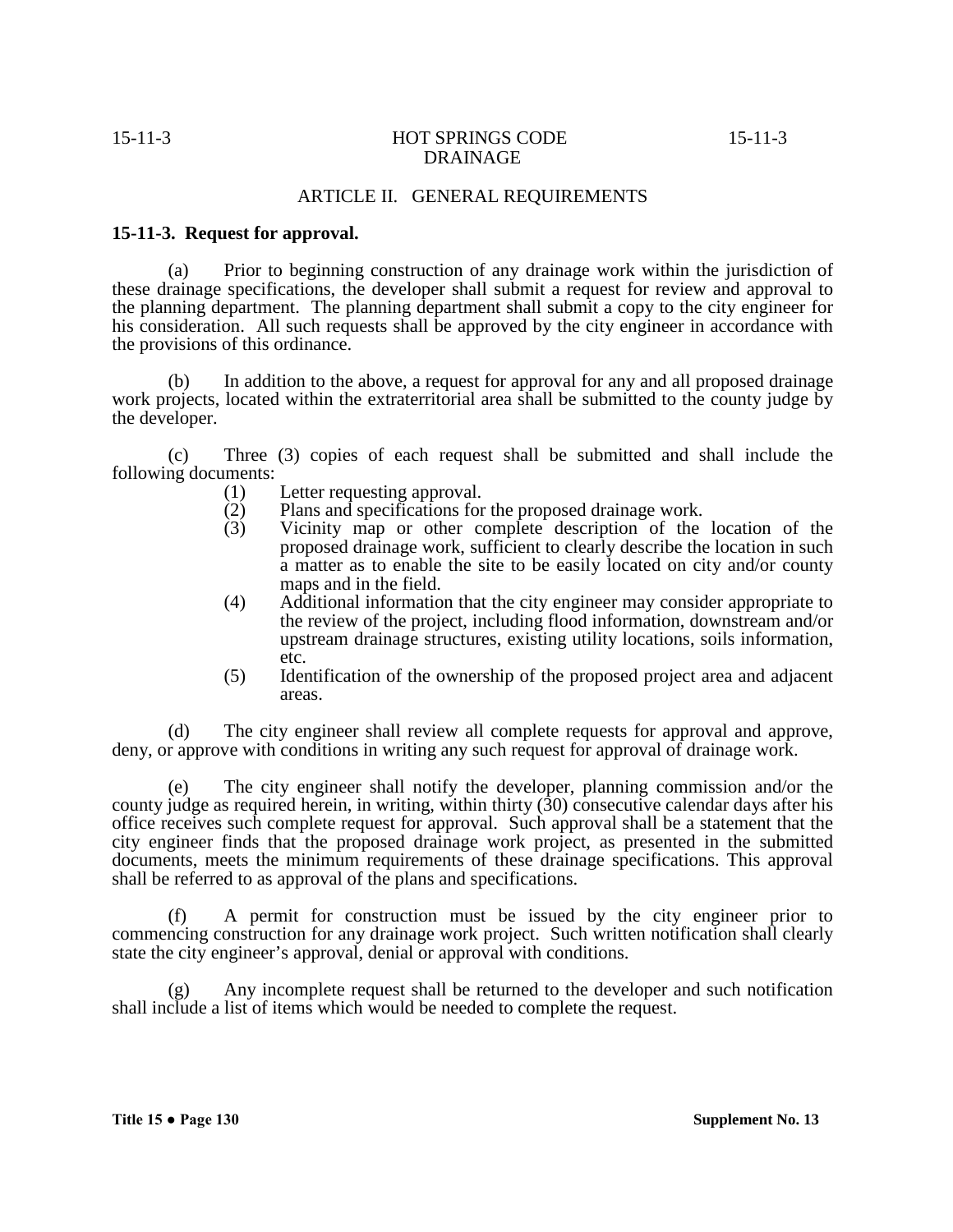# ARTICLE II. GENERAL REQUIREMENTS

# **15-11-3. Request for approval.**

(a) Prior to beginning construction of any drainage work within the jurisdiction of these drainage specifications, the developer shall submit a request for review and approval to the planning department. The planning department shall submit a copy to the city engineer for his consideration. All such requests shall be approved by the city engineer in accordance with the provisions of this ordinance.

(b) In addition to the above, a request for approval for any and all proposed drainage work projects, located within the extraterritorial area shall be submitted to the county judge by the developer.

(c) Three (3) copies of each request shall be submitted and shall include the following documents:

- (1) Letter requesting approval.<br>(2) Plans and specifications for
- (2) Plans and specifications for the proposed drainage work.<br>
(3) Vicinity map or other complete description of the
- Vicinity map or other complete description of the location of the proposed drainage work, sufficient to clearly describe the location in such a matter as to enable the site to be easily located on city and/or county maps and in the field.
- (4) Additional information that the city engineer may consider appropriate to the review of the project, including flood information, downstream and/or upstream drainage structures, existing utility locations, soils information, etc.
- (5) Identification of the ownership of the proposed project area and adjacent areas.

(d) The city engineer shall review all complete requests for approval and approve, deny, or approve with conditions in writing any such request for approval of drainage work.

(e) The city engineer shall notify the developer, planning commission and/or the county judge as required herein, in writing, within thirty (30) consecutive calendar days after his office receives such complete request for approval. Such approval shall be a statement that the city engineer finds that the proposed drainage work project, as presented in the submitted documents, meets the minimum requirements of these drainage specifications. This approval shall be referred to as approval of the plans and specifications.

(f) A permit for construction must be issued by the city engineer prior to commencing construction for any drainage work project. Such written notification shall clearly state the city engineer's approval, denial or approval with conditions.

(g) Any incomplete request shall be returned to the developer and such notification shall include a list of items which would be needed to complete the request.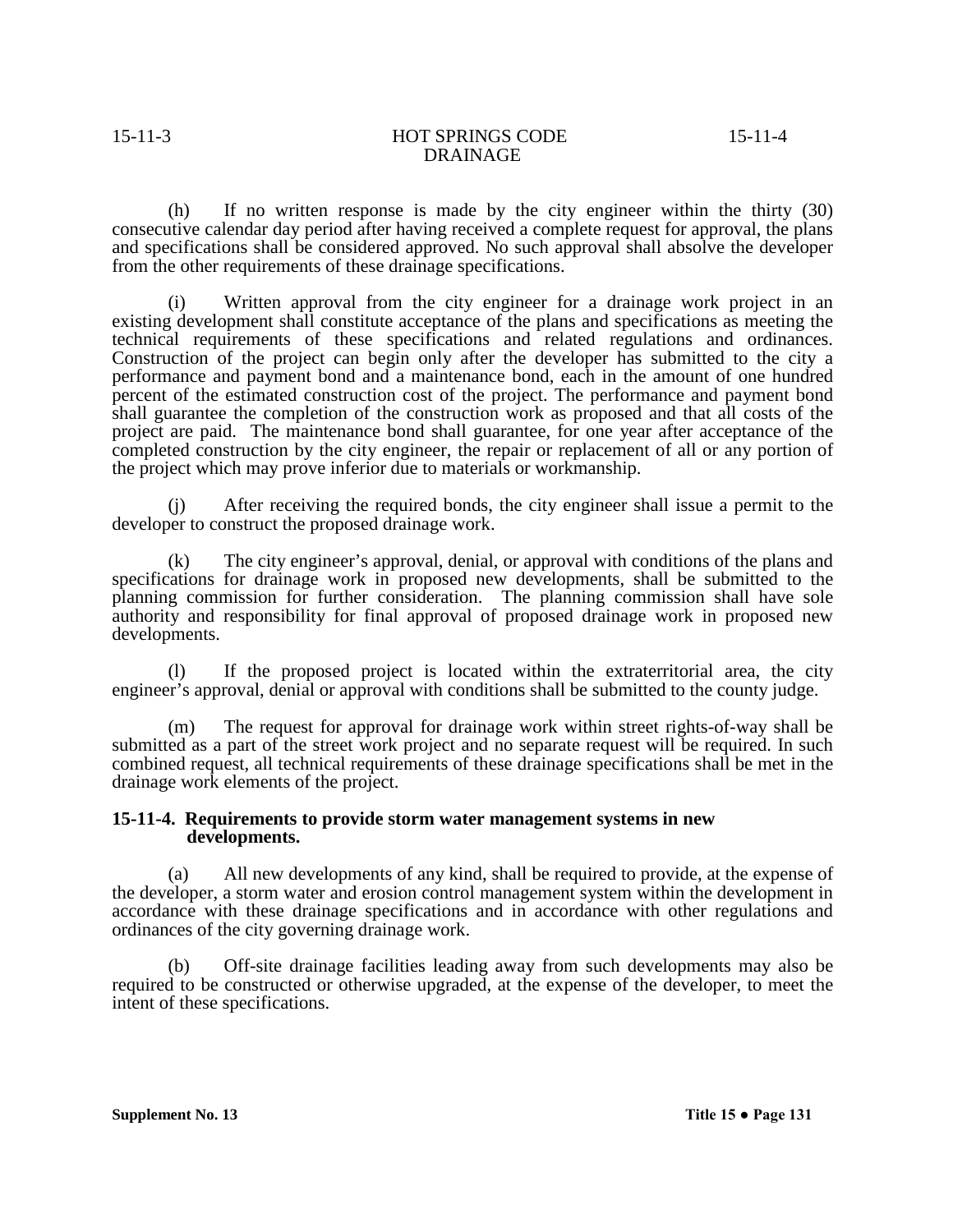(h) If no written response is made by the city engineer within the thirty (30) consecutive calendar day period after having received a complete request for approval, the plans and specifications shall be considered approved. No such approval shall absolve the developer from the other requirements of these drainage specifications.

(i) Written approval from the city engineer for a drainage work project in an existing development shall constitute acceptance of the plans and specifications as meeting the technical requirements of these specifications and related regulations and ordinances. Construction of the project can begin only after the developer has submitted to the city a performance and payment bond and a maintenance bond, each in the amount of one hundred percent of the estimated construction cost of the project. The performance and payment bond shall guarantee the completion of the construction work as proposed and that all costs of the project are paid. The maintenance bond shall guarantee, for one year after acceptance of the completed construction by the city engineer, the repair or replacement of all or any portion of the project which may prove inferior due to materials or workmanship.

(j) After receiving the required bonds, the city engineer shall issue a permit to the developer to construct the proposed drainage work.

(k) The city engineer's approval, denial, or approval with conditions of the plans and specifications for drainage work in proposed new developments, shall be submitted to the planning commission for further consideration. The planning commission shall have sole authority and responsibility for final approval of proposed drainage work in proposed new

(1) If the proposed project is located within the extraterritorial area, the city engineer's approval, denial or approval with conditions shall be submitted to the county judge.

(m) The request for approval for drainage work within street rights-of-way shall be submitted as a part of the street work project and no separate request will be required. In such combined request, all technical requirements of these drainage specifications shall be met in the drainage work elements of the project.

# **15-11-4. Requirements to provide storm water management systems in new developments.**

(a) All new developments of any kind, shall be required to provide, at the expense of the developer, a storm water and erosion control management system within the development in accordance with these drainage specifications and in accordance with other regulations and ordinances of the city governing drainage work.

(b) Off-site drainage facilities leading away from such developments may also be required to be constructed or otherwise upgraded, at the expense of the developer, to meet the intent of these specifications.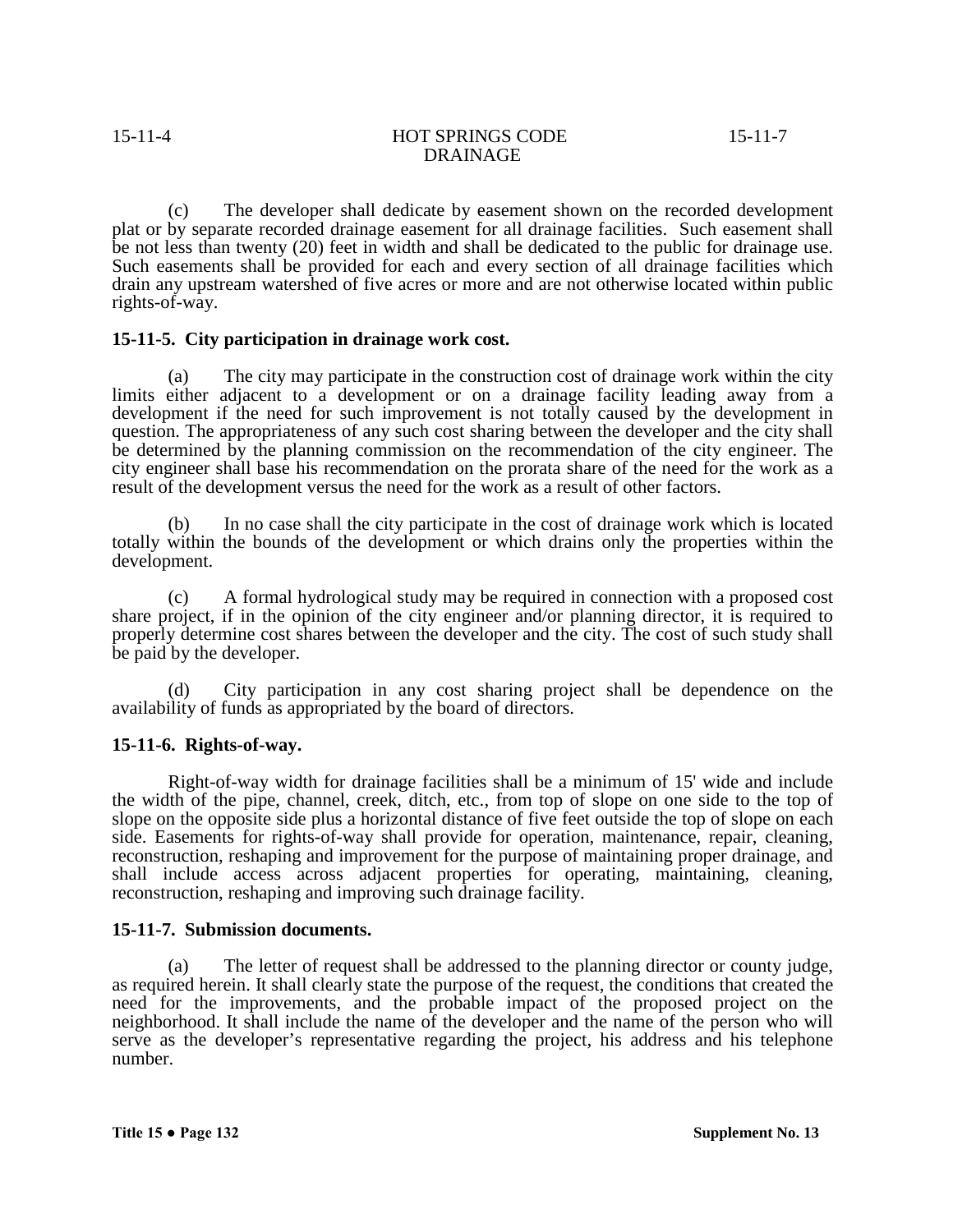(c) The developer shall dedicate by easement shown on the recorded development plat or by separate recorded drainage easement for all drainage facilities. Such easement shall be not less than twenty (20) feet in width and shall be dedicated to the public for drainage use. Such easements shall be provided for each and every section of all drainage facilities which drain any upstream watershed of five acres or more and are not otherwise located within public rights-of-way.

#### **15-11-5. City participation in drainage work cost.**

(a) The city may participate in the construction cost of drainage work within the city limits either adjacent to a development or on a drainage facility leading away from a development if the need for such improvement is not totally caused by the development in question. The appropriateness of any such cost sharing between the developer and the city shall be determined by the planning commission on the recommendation of the city engineer. The city engineer shall base his recommendation on the prorata share of the need for the work as a result of the development versus the need for the work as a result of other factors.

(b) In no case shall the city participate in the cost of drainage work which is located totally within the bounds of the development or which drains only the properties within the development.

(c) A formal hydrological study may be required in connection with a proposed cost share project, if in the opinion of the city engineer and/or planning director, it is required to properly determine cost shares between the developer and the city. The cost of such study shall be paid by the developer.

City participation in any cost sharing project shall be dependence on the availability of funds as appropriated by the board of directors.

# **15-11-6. Rights-of-way.**

Right-of-way width for drainage facilities shall be a minimum of 15' wide and include the width of the pipe, channel, creek, ditch, etc., from top of slope on one side to the top of slope on the opposite side plus a horizontal distance of five feet outside the top of slope on each side. Easements for rights-of-way shall provide for operation, maintenance, repair, cleaning, reconstruction, reshaping and improvement for the purpose of maintaining proper drainage, and shall include access across adjacent properties for operating, maintaining, cleaning, reconstruction, reshaping and improving such drainage facility.

#### **15-11-7. Submission documents.**

(a) The letter of request shall be addressed to the planning director or county judge, as required herein. It shall clearly state the purpose of the request, the conditions that created the need for the improvements, and the probable impact of the proposed project on the neighborhood. It shall include the name of the developer and the name of the person who will serve as the developer's representative regarding the project, his address and his telephone number.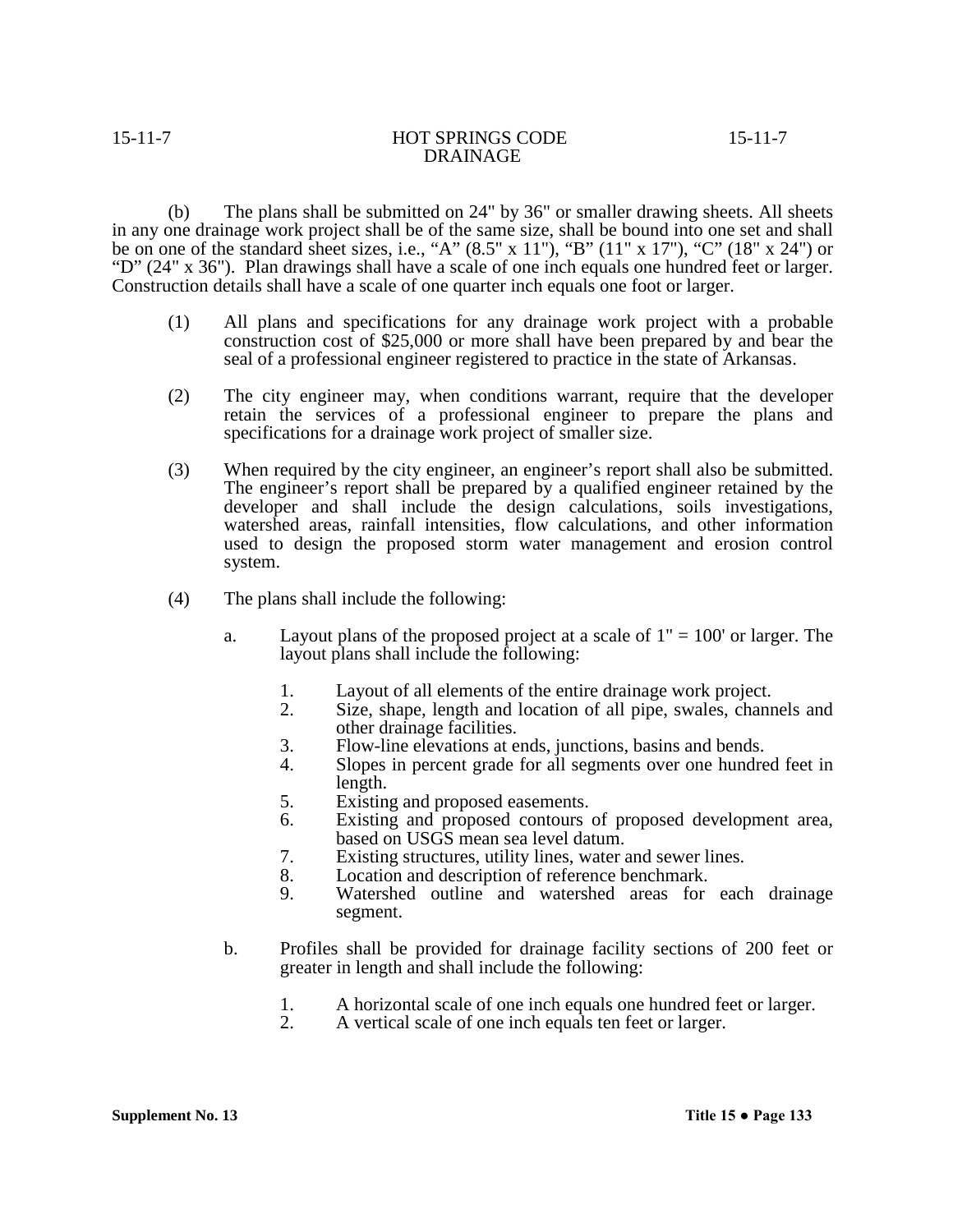(b) The plans shall be submitted on 24" by 36" or smaller drawing sheets. All sheets in any one drainage work project shall be of the same size, shall be bound into one set and shall be on one of the standard sheet sizes, i.e., "A"  $(8.5" \times 11")$ , "B"  $(11" \times 17")$ , "C"  $(18" \times 24")$  or "D" (24" x 36"). Plan drawings shall have a scale of one inch equals one hundred feet or larger. Construction details shall have a scale of one quarter inch equals one foot or larger.

- (1) All plans and specifications for any drainage work project with a probable construction cost of \$25,000 or more shall have been prepared by and bear the seal of a professional engineer registered to practice in the state of Arkansas.
- (2) The city engineer may, when conditions warrant, require that the developer retain the services of a professional engineer to prepare the plans and specifications for a drainage work project of smaller size.
- (3) When required by the city engineer, an engineer's report shall also be submitted. The engineer's report shall be prepared by a qualified engineer retained by the developer and shall include the design calculations, soils investigations, watershed areas, rainfall intensities, flow calculations, and other information used to design the proposed storm water management and erosion control system.
- (4) The plans shall include the following:
	- a. Layout plans of the proposed project at a scale of  $1" = 100'$  or larger. The layout plans shall include the following:
		- 1. Layout of all elements of the entire drainage work project.<br>2. Size, shape, length and location of all pipe, swales, change
		- Size, shape, length and location of all pipe, swales, channels and other drainage facilities.
		- 3. Flow-line elevations at ends, junctions, basins and bends.
		- 4. Slopes in percent grade for all segments over one hundred feet in length.
		- 5. Existing and proposed easements.<br>6. Existing and proposed contours of
		- Existing and proposed contours of proposed development area, based on USGS mean sea level datum.
		- 7. Existing structures, utility lines, water and sewer lines.
		- 8. Location and description of reference benchmark.<br>9. Watershed outline and watershed areas for
		- Watershed outline and watershed areas for each drainage segment.
	- b. Profiles shall be provided for drainage facility sections of 200 feet or greater in length and shall include the following:
		- 1. A horizontal scale of one inch equals one hundred feet or larger.
		- 2. A vertical scale of one inch equals ten feet or larger.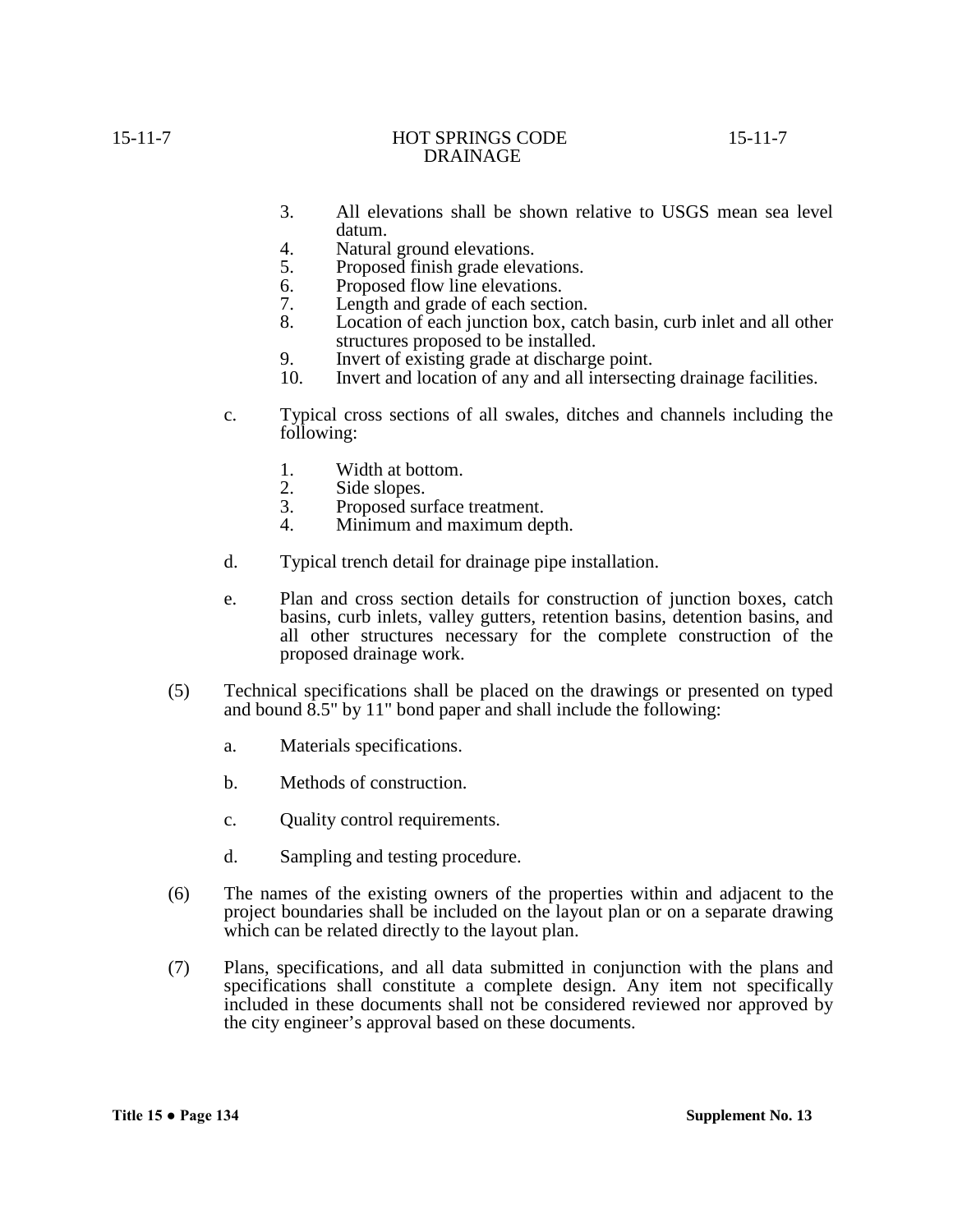- 3. All elevations shall be shown relative to USGS mean sea level datum.
- 4. Natural ground elevations.
- 5. Proposed finish grade elevations.
- 6. Proposed flow line elevations.
- 7. Length and grade of each section.<br>8. Location of each junction box, cat
- Location of each junction box, catch basin, curb inlet and all other structures proposed to be installed.
- 
- 9. Invert of existing grade at discharge point.<br>10. Invert and location of any and all intersecting drainage facilities.
- 10. Invert and location of any and all intersecting drainage facilities. c. Typical cross sections of all swales, ditches and channels including the following:
	- 1. Width at bottom.<br>2. Side slopes.
	- 2. Side slopes.<br>3. Proposed sui
	- 3. Proposed surface treatment.<br>4. Minimum and maximum der
	- Minimum and maximum depth.
- d. Typical trench detail for drainage pipe installation.
- e. Plan and cross section details for construction of junction boxes, catch basins, curb inlets, valley gutters, retention basins, detention basins, and all other structures necessary for the complete construction of the proposed drainage work.
- (5) Technical specifications shall be placed on the drawings or presented on typed and bound 8.5" by 11" bond paper and shall include the following:
	- a. Materials specifications.
	- b. Methods of construction.
	- c. Quality control requirements.
	- d. Sampling and testing procedure.
- (6) The names of the existing owners of the properties within and adjacent to the project boundaries shall be included on the layout plan or on a separate drawing which can be related directly to the layout plan.
- (7) Plans, specifications, and all data submitted in conjunction with the plans and specifications shall constitute a complete design. Any item not specifically included in these documents shall not be considered reviewed nor approved by the city engineer's approval based on these documents.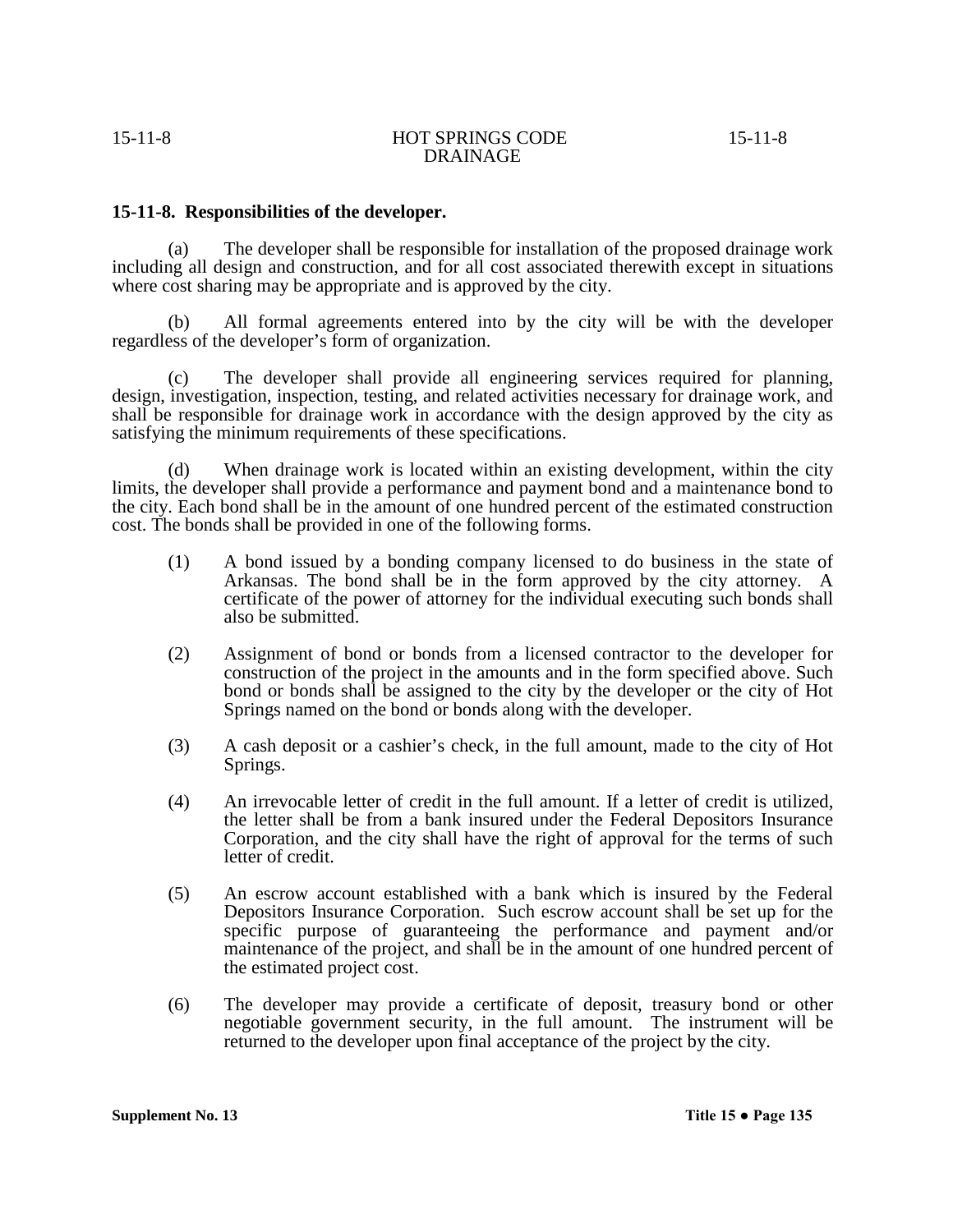# **15-11-8. Responsibilities of the developer.**

(a) The developer shall be responsible for installation of the proposed drainage work including all design and construction, and for all cost associated therewith except in situations where cost sharing may be appropriate and is approved by the city.

 (b) All formal agreements entered into by the city will be with the developer regardless of the developer's form of organization.

(c) The developer shall provide all engineering services required for planning, design, investigation, inspection, testing, and related activities necessary for drainage work, and shall be responsible for drainage work in accordance with the design approved by the city as satisfying the minimum requirements of these specifications.

(d) When drainage work is located within an existing development, within the city limits, the developer shall provide a performance and payment bond and a maintenance bond to the city. Each bond shall be in the amount of one hundred percent of the estimated construction cost. The bonds shall be provided in one of the following forms.

- (1) A bond issued by a bonding company licensed to do business in the state of Arkansas. The bond shall be in the form approved by the city attorney. A certificate of the power of attorney for the individual executing such bonds shall also be submitted.
- (2) Assignment of bond or bonds from a licensed contractor to the developer for construction of the project in the amounts and in the form specified above. Such bond or bonds shall be assigned to the city by the developer or the city of Hot Springs named on the bond or bonds along with the developer.
- (3) A cash deposit or a cashier's check, in the full amount, made to the city of Hot Springs.
- (4) An irrevocable letter of credit in the full amount. If a letter of credit is utilized, the letter shall be from a bank insured under the Federal Depositors Insurance Corporation, and the city shall have the right of approval for the terms of such letter of credit.
- (5) An escrow account established with a bank which is insured by the Federal Depositors Insurance Corporation. Such escrow account shall be set up for the specific purpose of guaranteeing the performance and payment and/or maintenance of the project, and shall be in the amount of one hundred percent of the estimated project cost.
- (6) The developer may provide a certificate of deposit, treasury bond or other negotiable government security, in the full amount. The instrument will be returned to the developer upon final acceptance of the project by the city.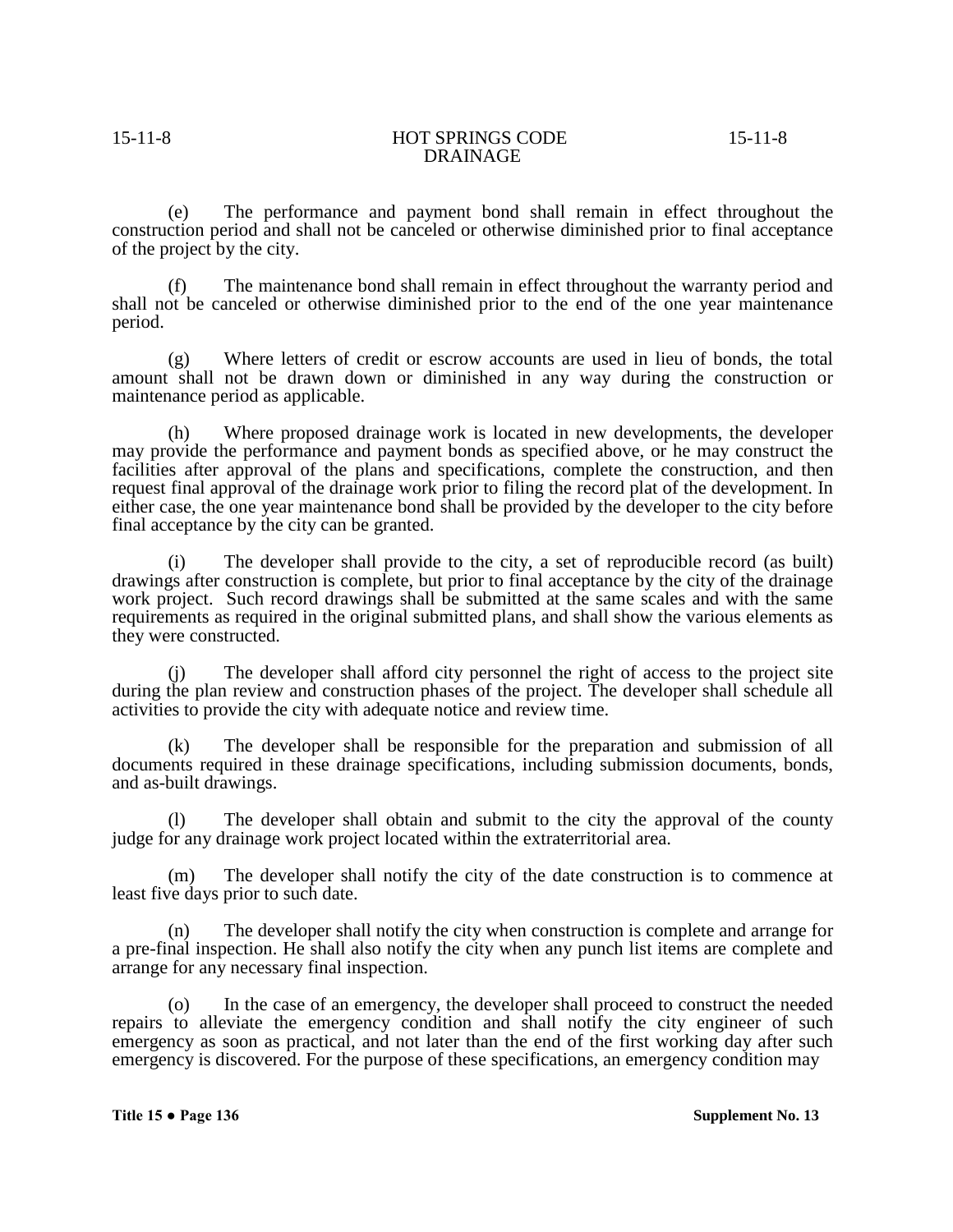(e) The performance and payment bond shall remain in effect throughout the construction period and shall not be canceled or otherwise diminished prior to final acceptance of the project by the city.

(f) The maintenance bond shall remain in effect throughout the warranty period and shall not be canceled or otherwise diminished prior to the end of the one year maintenance period.

(g) Where letters of credit or escrow accounts are used in lieu of bonds, the total amount shall not be drawn down or diminished in any way during the construction or maintenance period as applicable.

(h) Where proposed drainage work is located in new developments, the developer may provide the performance and payment bonds as specified above, or he may construct the facilities after approval of the plans and specifications, complete the construction, and then request final approval of the drainage work prior to filing the record plat of the development. In either case, the one year maintenance bond shall be provided by the developer to the city before final acceptance by the city can be granted.

(i) The developer shall provide to the city, a set of reproducible record (as built) drawings after construction is complete, but prior to final acceptance by the city of the drainage work project. Such record drawings shall be submitted at the same scales and with the same requirements as required in the original submitted plans, and shall show the various elements as they were constructed.

The developer shall afford city personnel the right of access to the project site during the plan review and construction phases of the project. The developer shall schedule all activities to provide the city with adequate notice and review time.

(k) The developer shall be responsible for the preparation and submission of all documents required in these drainage specifications, including submission documents, bonds, and as-built drawings.

(l) The developer shall obtain and submit to the city the approval of the county judge for any drainage work project located within the extraterritorial area.

(m) The developer shall notify the city of the date construction is to commence at least five days prior to such date.

(n) The developer shall notify the city when construction is complete and arrange for a pre-final inspection. He shall also notify the city when any punch list items are complete and arrange for any necessary final inspection.

(o) In the case of an emergency, the developer shall proceed to construct the needed repairs to alleviate the emergency condition and shall notify the city engineer of such emergency as soon as practical, and not later than the end of the first working day after such emergency is discovered. For the purpose of these specifications, an emergency condition may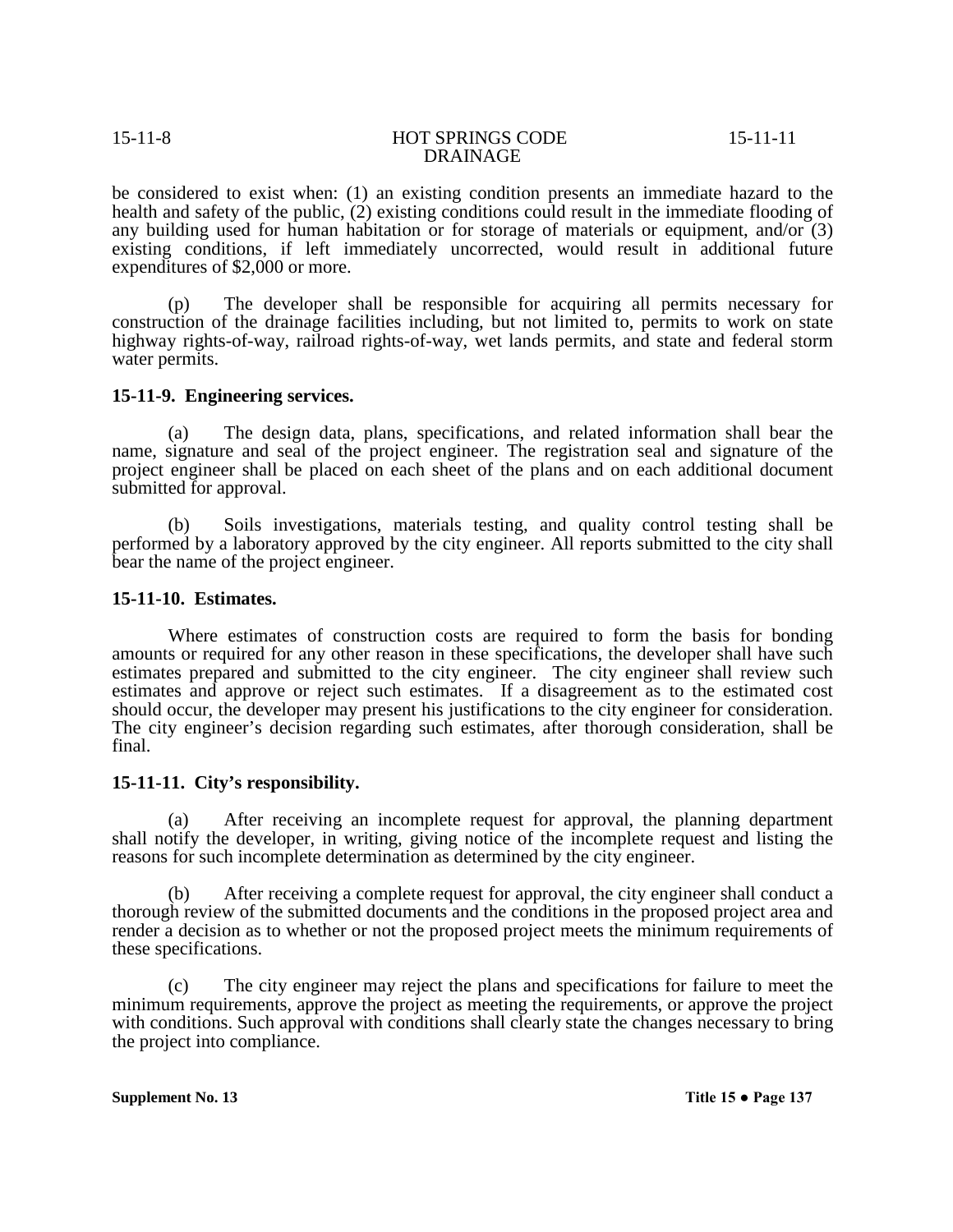be considered to exist when: (1) an existing condition presents an immediate hazard to the health and safety of the public, (2) existing conditions could result in the immediate flooding of any building used for human habitation or for storage of materials or equipment, and/or (3) existing conditions, if left immediately uncorrected, would result in additional future expenditures of \$2,000 or more.

(p) The developer shall be responsible for acquiring all permits necessary for construction of the drainage facilities including, but not limited to, permits to work on state highway rights-of-way, railroad rights-of-way, wet lands permits, and state and federal storm water permits.

# **15-11-9. Engineering services.**

(a) The design data, plans, specifications, and related information shall bear the name, signature and seal of the project engineer. The registration seal and signature of the project engineer shall be placed on each sheet of the plans and on each additional document submitted for approval.

(b) Soils investigations, materials testing, and quality control testing shall be performed by a laboratory approved by the city engineer. All reports submitted to the city shall bear the name of the project engineer.

### **15-11-10. Estimates.**

Where estimates of construction costs are required to form the basis for bonding amounts or required for any other reason in these specifications, the developer shall have such estimates prepared and submitted to the city engineer. The city engineer shall review such estimates and approve or reject such estimates. If a disagreement as to the estimated cost should occur, the developer may present his justifications to the city engineer for consideration. The city engineer's decision regarding such estimates, after thorough consideration, shall be final.

### **15-11-11. City's responsibility.**

(a) After receiving an incomplete request for approval, the planning department shall notify the developer, in writing, giving notice of the incomplete request and listing the reasons for such incomplete determination as determined by the city engineer.

(b) After receiving a complete request for approval, the city engineer shall conduct a thorough review of the submitted documents and the conditions in the proposed project area and render a decision as to whether or not the proposed project meets the minimum requirements of these specifications.

(c) The city engineer may reject the plans and specifications for failure to meet the minimum requirements, approve the project as meeting the requirements, or approve the project with conditions. Such approval with conditions shall clearly state the changes necessary to bring the project into compliance.

**Supplement No. 13 Title 15 ● Page 137**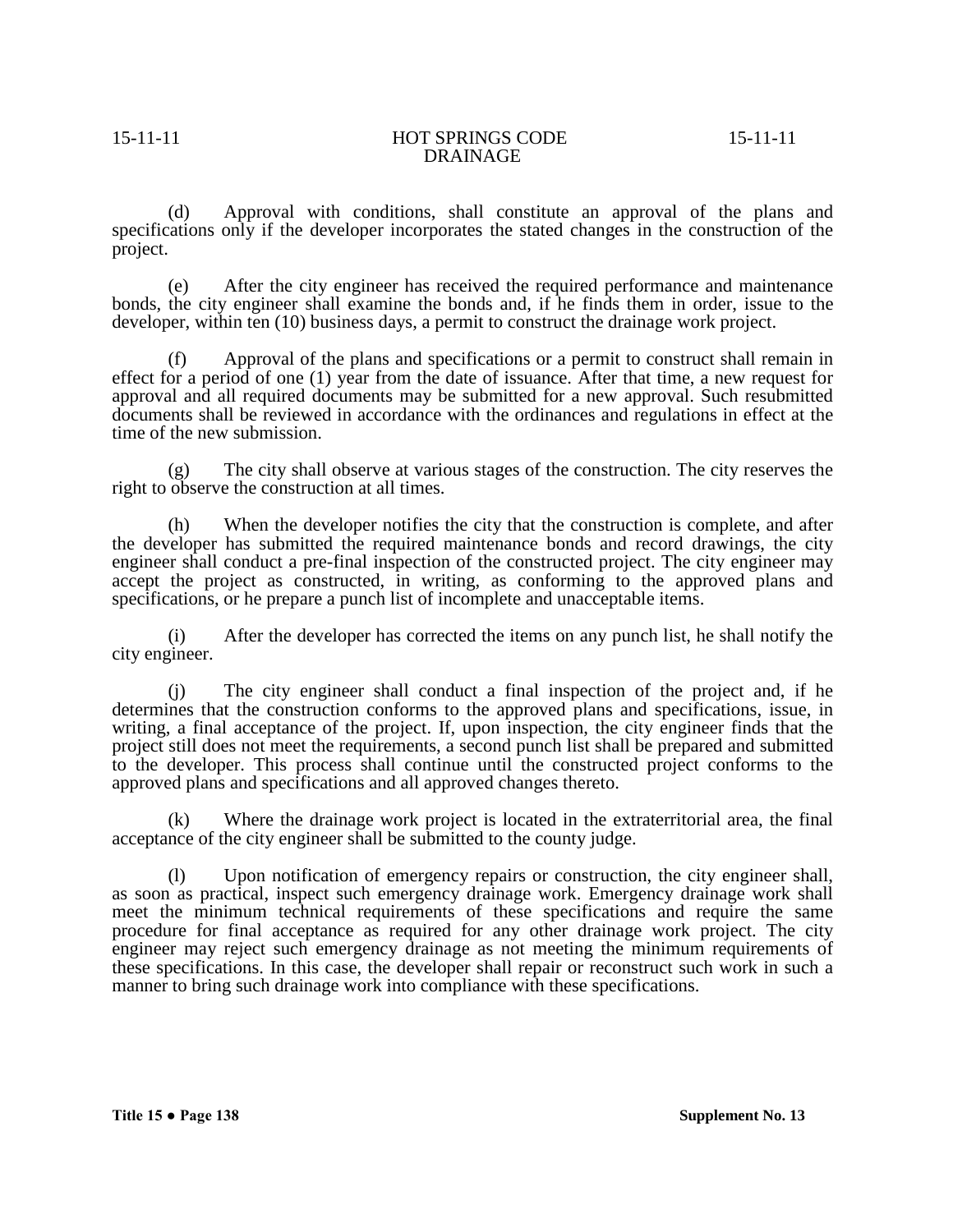(d) Approval with conditions, shall constitute an approval of the plans and specifications only if the developer incorporates the stated changes in the construction of the project.

(e) After the city engineer has received the required performance and maintenance bonds, the city engineer shall examine the bonds and, if he finds them in order, issue to the developer, within ten (10) business days, a permit to construct the drainage work project.

(f) Approval of the plans and specifications or a permit to construct shall remain in effect for a period of one (1) year from the date of issuance. After that time, a new request for approval and all required documents may be submitted for a new approval. Such resubmitted documents shall be reviewed in accordance with the ordinances and regulations in effect at the time of the new submission.

(g) The city shall observe at various stages of the construction. The city reserves the right to observe the construction at all times.

(h) When the developer notifies the city that the construction is complete, and after the developer has submitted the required maintenance bonds and record drawings, the city engineer shall conduct a pre-final inspection of the constructed project. The city engineer may accept the project as constructed, in writing, as conforming to the approved plans and specifications, or he prepare a punch list of incomplete and unacceptable items.

(i) After the developer has corrected the items on any punch list, he shall notify the city engineer.

(j) The city engineer shall conduct a final inspection of the project and, if he determines that the construction conforms to the approved plans and specifications, issue, in writing, a final acceptance of the project. If, upon inspection, the city engineer finds that the project still does not meet the requirements, a second punch list shall be prepared and submitted to the developer. This process shall continue until the constructed project conforms to the approved plans and specifications and all approved changes thereto.

(k) Where the drainage work project is located in the extraterritorial area, the final acceptance of the city engineer shall be submitted to the county judge.

(l) Upon notification of emergency repairs or construction, the city engineer shall, as soon as practical, inspect such emergency drainage work. Emergency drainage work shall meet the minimum technical requirements of these specifications and require the same procedure for final acceptance as required for any other drainage work project. The city engineer may reject such emergency drainage as not meeting the minimum requirements of these specifications. In this case, the developer shall repair or reconstruct such work in such a manner to bring such drainage work into compliance with these specifications.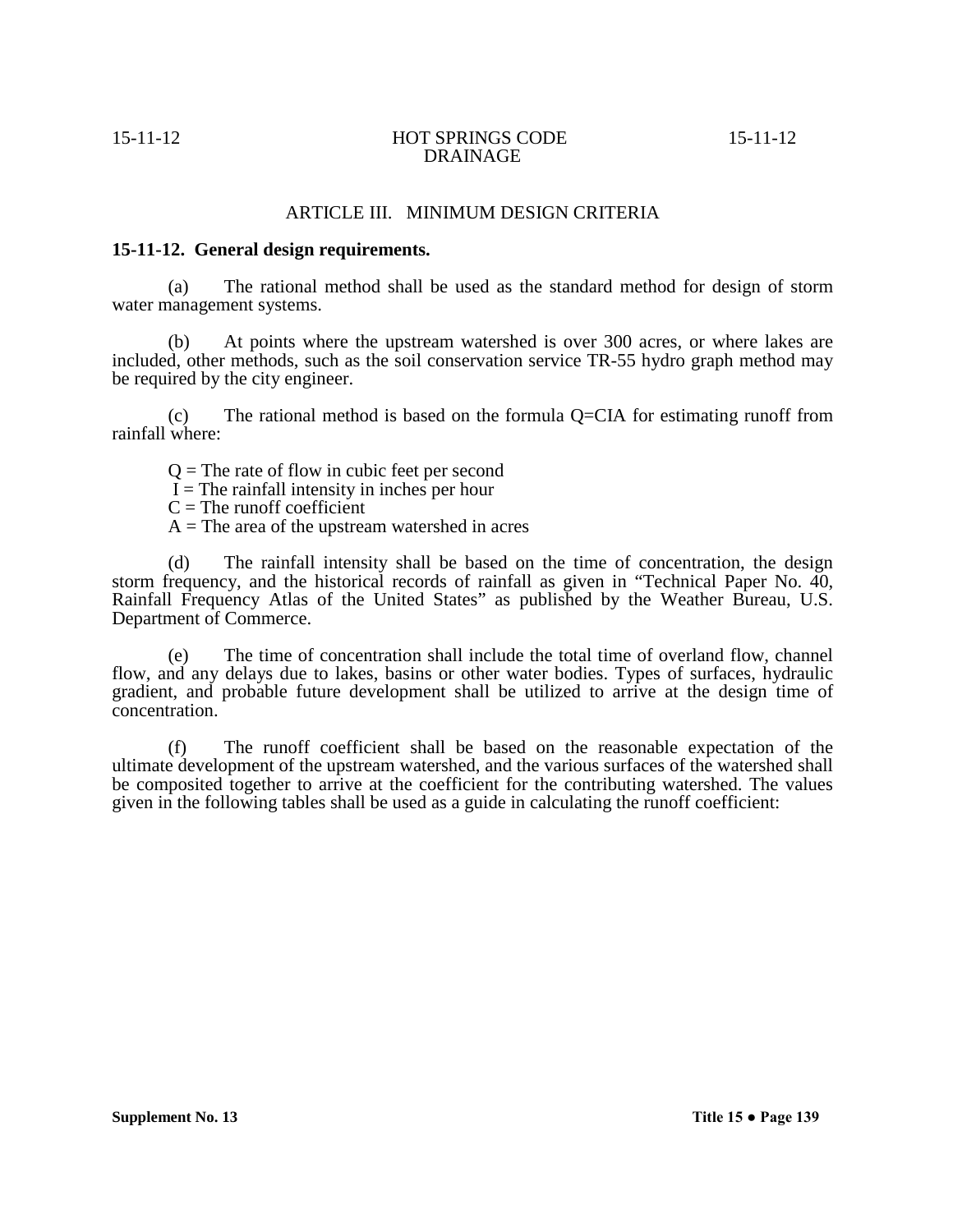# ARTICLE III. MINIMUM DESIGN CRITERIA

# **15-11-12. General design requirements.**

(a) The rational method shall be used as the standard method for design of storm water management systems.

(b) At points where the upstream watershed is over 300 acres, or where lakes are included, other methods, such as the soil conservation service TR-55 hydro graph method may be required by the city engineer.

(c) The rational method is based on the formula Q=CIA for estimating runoff from rainfall where:

 $Q =$ The rate of flow in cubic feet per second

 $\tilde{I}$  = The rainfall intensity in inches per hour

 $C =$ The runoff coefficient

 $A =$ The area of the upstream watershed in acres

(d) The rainfall intensity shall be based on the time of concentration, the design storm frequency, and the historical records of rainfall as given in "Technical Paper No. 40, Rainfall Frequency Atlas of the United States" as published by the Weather Bureau, U.S. Department of Commerce.

(e) The time of concentration shall include the total time of overland flow, channel flow, and any delays due to lakes, basins or other water bodies. Types of surfaces, hydraulic gradient, and probable future development shall be utilized to arrive at the design time of concentration.

(f) The runoff coefficient shall be based on the reasonable expectation of the ultimate development of the upstream watershed, and the various surfaces of the watershed shall be composited together to arrive at the coefficient for the contributing watershed. The values given in the following tables shall be used as a guide in calculating the runoff coefficient: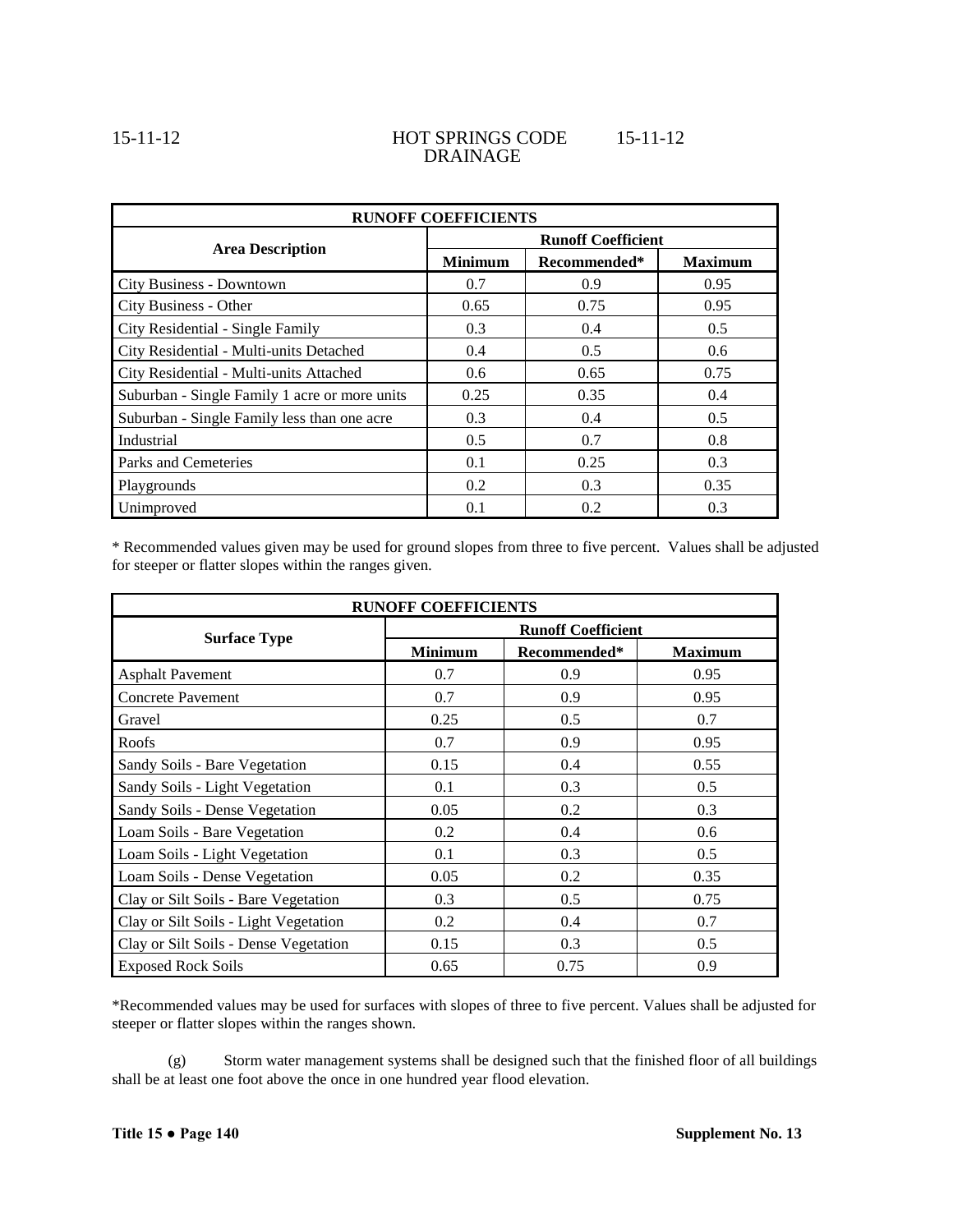| <b>RUNOFF COEFFICIENTS</b>                    |                           |              |                |  |
|-----------------------------------------------|---------------------------|--------------|----------------|--|
| <b>Area Description</b>                       | <b>Runoff Coefficient</b> |              |                |  |
|                                               | <b>Minimum</b>            | Recommended* | <b>Maximum</b> |  |
| City Business - Downtown                      | 0.7                       | 0.9          | 0.95           |  |
| City Business - Other                         | 0.65                      | 0.75         | 0.95           |  |
| City Residential - Single Family              | 0.3                       | 0.4          | 0.5            |  |
| City Residential - Multi-units Detached       | 0.4                       | 0.5          | 0.6            |  |
| City Residential - Multi-units Attached       | 0.6                       | 0.65         | 0.75           |  |
| Suburban - Single Family 1 acre or more units | 0.25                      | 0.35         | 0.4            |  |
| Suburban - Single Family less than one acre   | 0.3                       | 0.4          | 0.5            |  |
| Industrial                                    | 0.5                       | 0.7          | 0.8            |  |
| Parks and Cemeteries                          | 0.1                       | 0.25         | 0.3            |  |
| Playgrounds                                   | 0.2                       | 0.3          | 0.35           |  |
| Unimproved                                    | 0.1                       | 0.2          | 0.3            |  |

\* Recommended values given may be used for ground slopes from three to five percent. Values shall be adjusted for steeper or flatter slopes within the ranges given.

| <b>RUNOFF COEFFICIENTS</b>            |                           |              |                |  |
|---------------------------------------|---------------------------|--------------|----------------|--|
| <b>Surface Type</b>                   | <b>Runoff Coefficient</b> |              |                |  |
|                                       | <b>Minimum</b>            | Recommended* | <b>Maximum</b> |  |
| <b>Asphalt Pavement</b>               | 0.7                       | 0.9          | 0.95           |  |
| <b>Concrete Pavement</b>              | 0.7                       | 0.9          | 0.95           |  |
| Gravel                                | 0.25                      | 0.5          | 0.7            |  |
| Roofs                                 | 0.7                       | 0.9          | 0.95           |  |
| Sandy Soils - Bare Vegetation         | 0.15                      | 0.4          | 0.55           |  |
| Sandy Soils - Light Vegetation        | 0.1                       | 0.3          | 0.5            |  |
| Sandy Soils - Dense Vegetation        | 0.05                      | 0.2          | 0.3            |  |
| Loam Soils - Bare Vegetation          | 0.2                       | 0.4          | 0.6            |  |
| Loam Soils - Light Vegetation         | 0.1                       | 0.3          | 0.5            |  |
| Loam Soils - Dense Vegetation         | 0.05                      | 0.2          | 0.35           |  |
| Clay or Silt Soils - Bare Vegetation  | 0.3                       | 0.5          | 0.75           |  |
| Clay or Silt Soils - Light Vegetation | 0.2                       | 0.4          | 0.7            |  |
| Clay or Silt Soils - Dense Vegetation | 0.15                      | 0.3          | 0.5            |  |
| <b>Exposed Rock Soils</b>             | 0.65                      | 0.75         | 0.9            |  |

\*Recommended values may be used for surfaces with slopes of three to five percent. Values shall be adjusted for steeper or flatter slopes within the ranges shown.

(g) Storm water management systems shall be designed such that the finished floor of all buildings shall be at least one foot above the once in one hundred year flood elevation.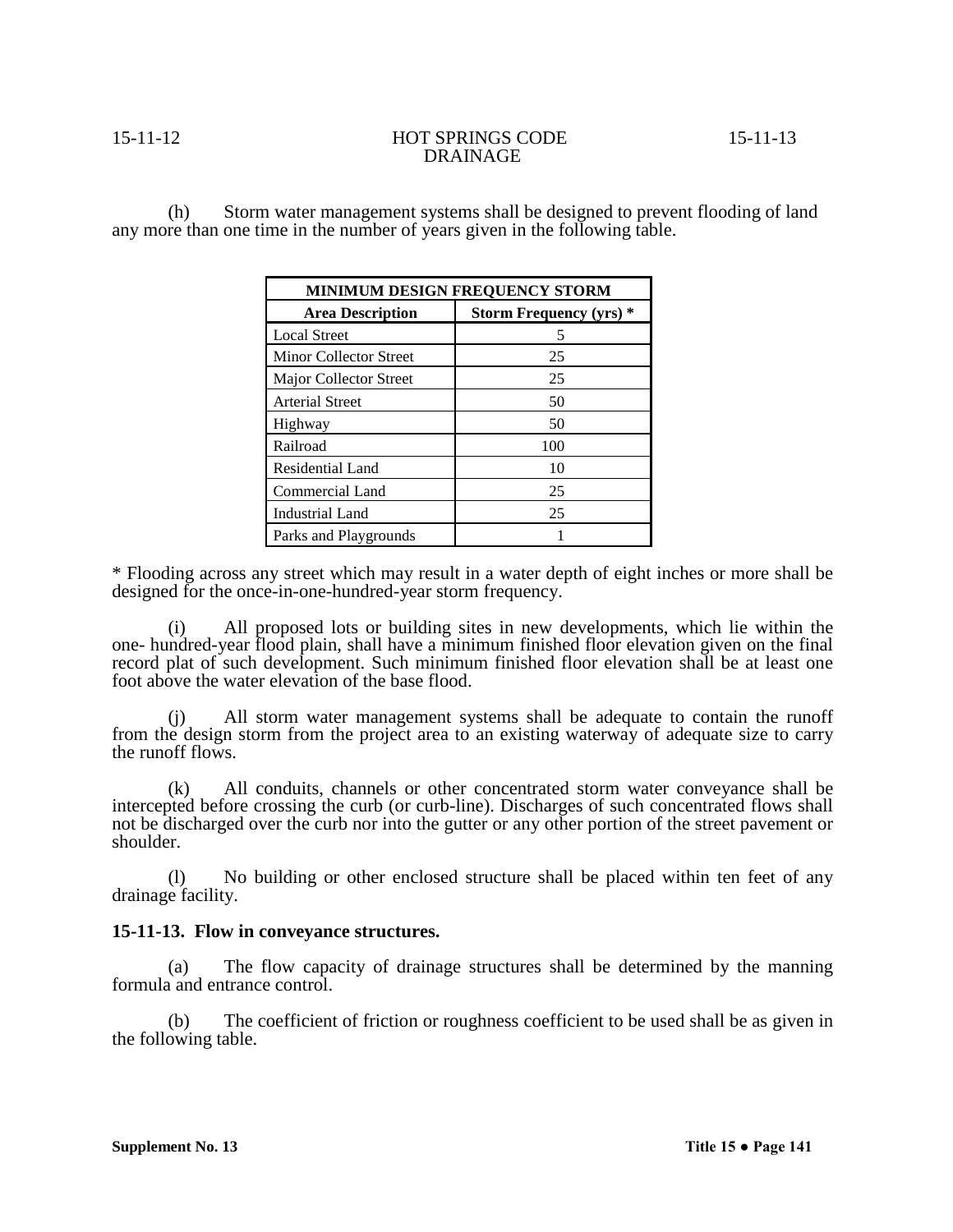(h) Storm water management systems shall be designed to prevent flooding of land any more than one time in the number of years given in the following table.

| <b>MINIMUM DESIGN FREQUENCY STORM</b> |                                |  |  |
|---------------------------------------|--------------------------------|--|--|
| <b>Area Description</b>               | <b>Storm Frequency (yrs) *</b> |  |  |
| <b>Local Street</b>                   |                                |  |  |
| Minor Collector Street                | 25                             |  |  |
| Major Collector Street                | 25                             |  |  |
| <b>Arterial Street</b>                | 50                             |  |  |
| Highway                               | 50                             |  |  |
| Railroad                              | 100                            |  |  |
| Residential Land                      | 10                             |  |  |
| Commercial Land                       | 25                             |  |  |
| <b>Industrial Land</b>                | 25                             |  |  |
| Parks and Playgrounds                 |                                |  |  |

\* Flooding across any street which may result in a water depth of eight inches or more shall be designed for the once-in-one-hundred-year storm frequency.

(i) All proposed lots or building sites in new developments, which lie within the one- hundred-year flood plain, shall have a minimum finished floor elevation given on the final record plat of such development. Such minimum finished floor elevation shall be at least one foot above the water elevation of the base flood.

All storm water management systems shall be adequate to contain the runoff from the design storm from the project area to an existing waterway of adequate size to carry the runoff flows.

(k) All conduits, channels or other concentrated storm water conveyance shall be intercepted before crossing the curb (or curb-line). Discharges of such concentrated flows shall not be discharged over the curb nor into the gutter or any other portion of the street pavement or shoulder.

(l) No building or other enclosed structure shall be placed within ten feet of any drainage facility.

# **15-11-13. Flow in conveyance structures.**

(a) The flow capacity of drainage structures shall be determined by the manning formula and entrance control.

(b) The coefficient of friction or roughness coefficient to be used shall be as given in the following table.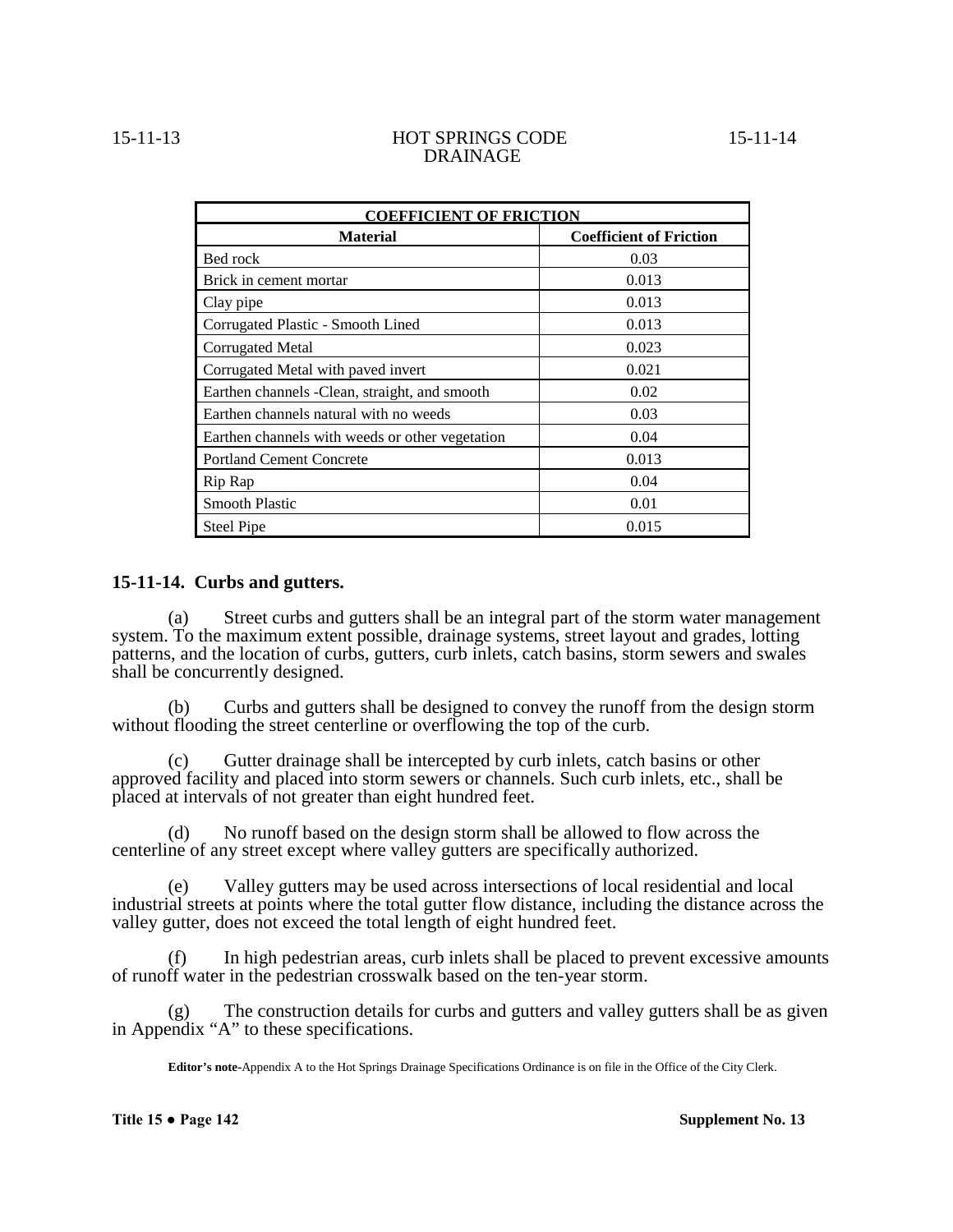| <b>COEFFICIENT OF FRICTION</b>                  |                                |  |  |  |
|-------------------------------------------------|--------------------------------|--|--|--|
| <b>Material</b>                                 | <b>Coefficient of Friction</b> |  |  |  |
| Bed rock                                        | 0.03                           |  |  |  |
| Brick in cement mortar                          | 0.013                          |  |  |  |
| Clay pipe                                       | 0.013                          |  |  |  |
| Corrugated Plastic - Smooth Lined               | 0.013                          |  |  |  |
| Corrugated Metal                                | 0.023                          |  |  |  |
| Corrugated Metal with paved invert              | 0.021                          |  |  |  |
| Earthen channels - Clean, straight, and smooth  | 0.02                           |  |  |  |
| Earthen channels natural with no weeds          | 0.03                           |  |  |  |
| Earthen channels with weeds or other vegetation | 0.04                           |  |  |  |
| <b>Portland Cement Concrete</b>                 | 0.013                          |  |  |  |
| Rip Rap                                         | 0.04                           |  |  |  |
| <b>Smooth Plastic</b>                           | 0.01                           |  |  |  |
|                                                 |                                |  |  |  |

# **15-11-14. Curbs and gutters.**

(a) Street curbs and gutters shall be an integral part of the storm water management system. To the maximum extent possible, drainage systems, street layout and grades, lotting patterns, and the location of curbs, gutters, curb inlets, catch basins, storm sewers and swales shall be concurrently designed.

Steel Pipe 0.015

(b) Curbs and gutters shall be designed to convey the runoff from the design storm without flooding the street centerline or overflowing the top of the curb.

(c) Gutter drainage shall be intercepted by curb inlets, catch basins or other approved facility and placed into storm sewers or channels. Such curb inlets, etc., shall be placed at intervals of not greater than eight hundred feet.

(d) No runoff based on the design storm shall be allowed to flow across the centerline of any street except where valley gutters are specifically authorized.

(e) Valley gutters may be used across intersections of local residential and local industrial streets at points where the total gutter flow distance, including the distance across the valley gutter, does not exceed the total length of eight hundred feet.

(f) In high pedestrian areas, curb inlets shall be placed to prevent excessive amounts of runoff water in the pedestrian crosswalk based on the ten-year storm.

The construction details for curbs and gutters and valley gutters shall be as given in Appendix "A" to these specifications.

**Editor's note-**Appendix A to the Hot Springs Drainage Specifications Ordinance is on file in the Office of the City Clerk.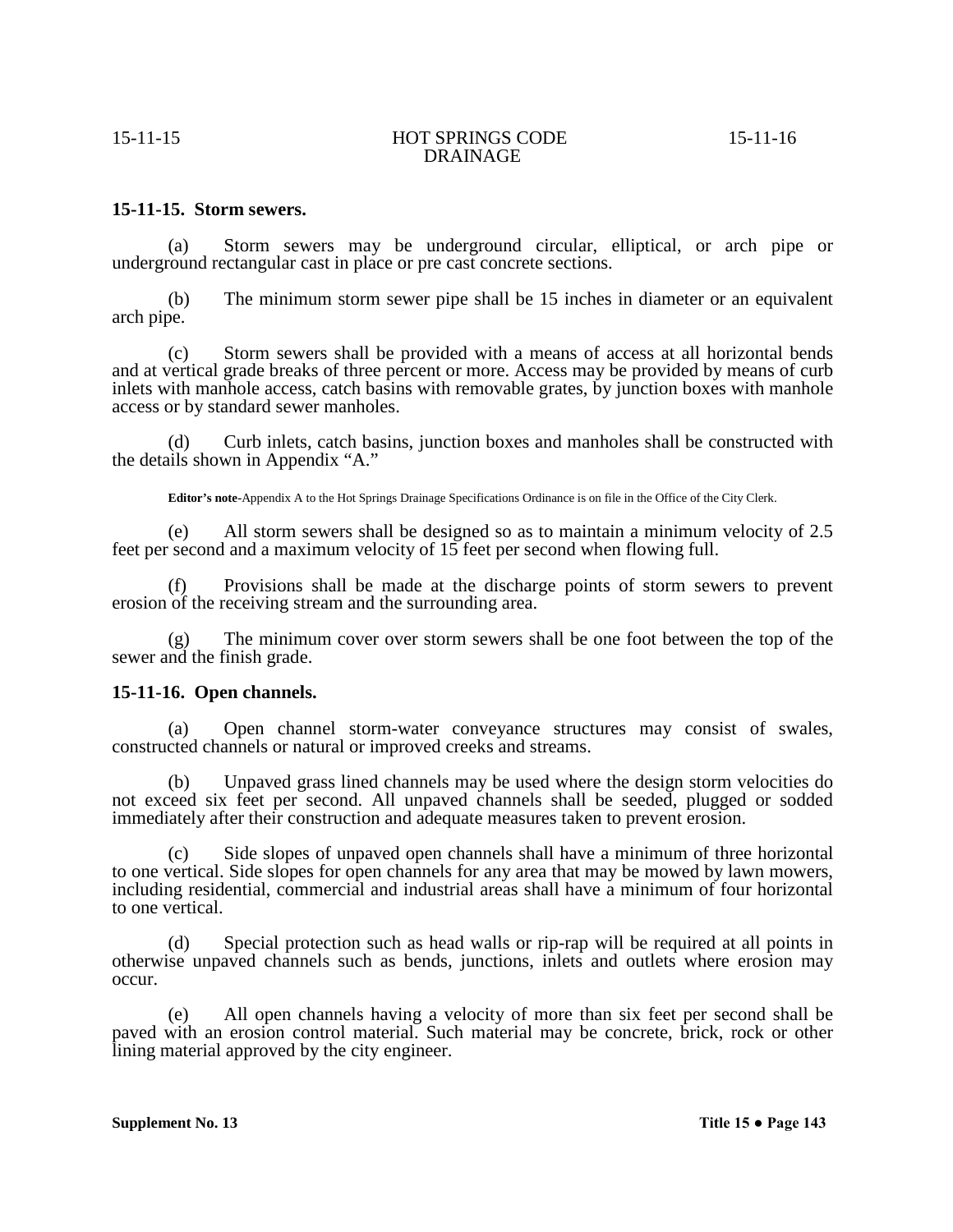# **15-11-15. Storm sewers.**

(a) Storm sewers may be underground circular, elliptical, or arch pipe or underground rectangular cast in place or pre cast concrete sections.

(b) The minimum storm sewer pipe shall be 15 inches in diameter or an equivalent arch pipe.

(c) Storm sewers shall be provided with a means of access at all horizontal bends and at vertical grade breaks of three percent or more. Access may be provided by means of curb inlets with manhole access, catch basins with removable grates, by junction boxes with manhole access or by standard sewer manholes.

(d) Curb inlets, catch basins, junction boxes and manholes shall be constructed with the details shown in Appendix "A."

**Editor's note-**Appendix A to the Hot Springs Drainage Specifications Ordinance is on file in the Office of the City Clerk.

(e) All storm sewers shall be designed so as to maintain a minimum velocity of 2.5 feet per second and a maximum velocity of 15 feet per second when flowing full.

(f) Provisions shall be made at the discharge points of storm sewers to prevent erosion of the receiving stream and the surrounding area.

(g) The minimum cover over storm sewers shall be one foot between the top of the sewer and the finish grade.

### **15-11-16. Open channels.**

(a) Open channel storm-water conveyance structures may consist of swales, constructed channels or natural or improved creeks and streams.

(b) Unpaved grass lined channels may be used where the design storm velocities do not exceed six feet per second. All unpaved channels shall be seeded, plugged or sodded immediately after their construction and adequate measures taken to prevent erosion.

(c) Side slopes of unpaved open channels shall have a minimum of three horizontal to one vertical. Side slopes for open channels for any area that may be mowed by lawn mowers, including residential, commercial and industrial areas shall have a minimum of four horizontal to one vertical.

(d) Special protection such as head walls or rip-rap will be required at all points in otherwise unpaved channels such as bends, junctions, inlets and outlets where erosion may occur.

(e) All open channels having a velocity of more than six feet per second shall be paved with an erosion control material. Such material may be concrete, brick, rock or other lining material approved by the city engineer.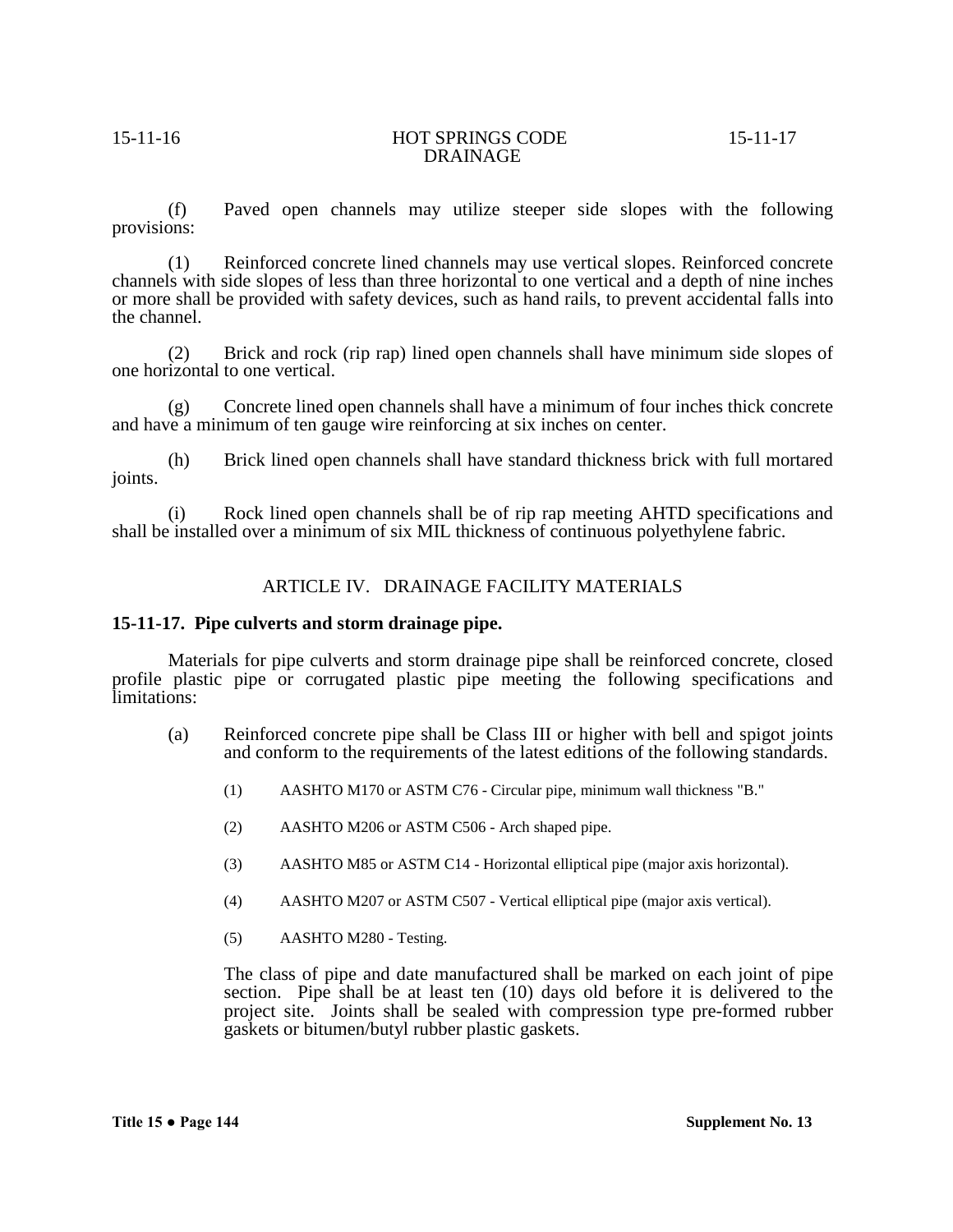(f) Paved open channels may utilize steeper side slopes with the following provisions:

(1) Reinforced concrete lined channels may use vertical slopes. Reinforced concrete channels with side slopes of less than three horizontal to one vertical and a depth of nine inches or more shall be provided with safety devices, such as hand rails, to prevent accidental falls into the channel.

(2) Brick and rock (rip rap) lined open channels shall have minimum side slopes of one horizontal to one vertical.

(g) Concrete lined open channels shall have a minimum of four inches thick concrete and have a minimum of ten gauge wire reinforcing at six inches on center.

(h) Brick lined open channels shall have standard thickness brick with full mortared joints.

(i) Rock lined open channels shall be of rip rap meeting AHTD specifications and shall be installed over a minimum of six MIL thickness of continuous polyethylene fabric.

# ARTICLE IV. DRAINAGE FACILITY MATERIALS

# **15-11-17. Pipe culverts and storm drainage pipe.**

Materials for pipe culverts and storm drainage pipe shall be reinforced concrete, closed profile plastic pipe or corrugated plastic pipe meeting the following specifications and limitations:

- (a) Reinforced concrete pipe shall be Class III or higher with bell and spigot joints and conform to the requirements of the latest editions of the following standards.
	- (1) AASHTO M170 or ASTM C76 Circular pipe, minimum wall thickness "B."
	- (2) AASHTO M206 or ASTM C506 Arch shaped pipe.
	- (3) AASHTO M85 or ASTM C14 Horizontal elliptical pipe (major axis horizontal).
	- (4) AASHTO M207 or ASTM C507 Vertical elliptical pipe (major axis vertical).
	- (5) AASHTO M280 Testing.

The class of pipe and date manufactured shall be marked on each joint of pipe section. Pipe shall be at least ten (10) days old before it is delivered to the project site. Joints shall be sealed with compression type pre-formed rubber gaskets or bitumen/butyl rubber plastic gaskets.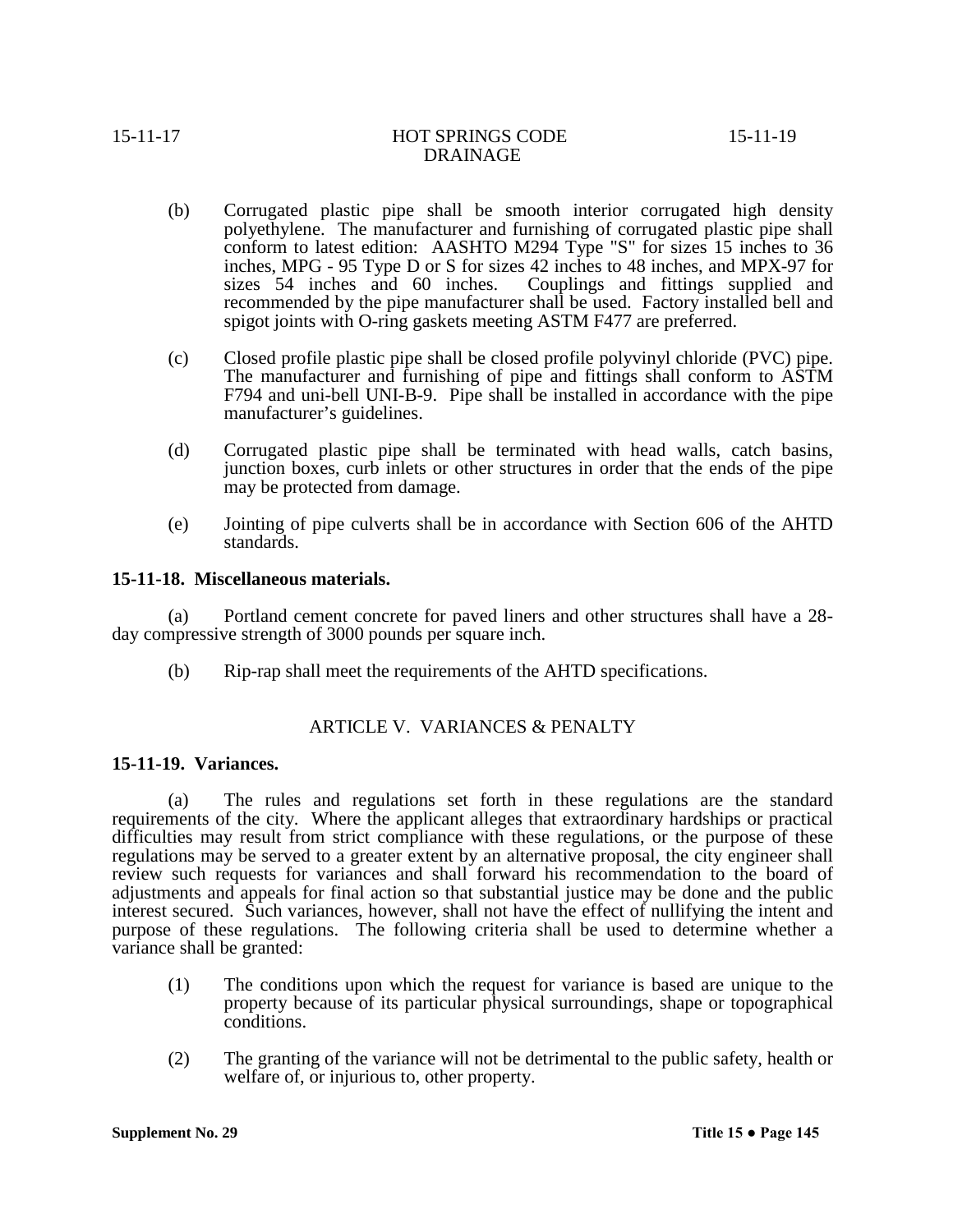interest secured. Such variances, however, shall not have the effect of nullifying the intent and purpose of these regulations. The following criteria shall be used to determine whether a variance shall be granted:

(1) The conditions upon which the request for variance is based are unique to the property because of its particular physical surroundings, shape or topographical conditions.

(a) The rules and regulations set forth in these regulations are the standard

(2) The granting of the variance will not be detrimental to the public safety, health or welfare of, or injurious to, other property.

**15-11-19. Variances.**

# (b) Rip-rap shall meet the requirements of the AHTD specifications.

requirements of the city. Where the applicant alleges that extraordinary hardships or practical difficulties may result from strict compliance with these regulations, or the purpose of these regulations may be served to a greater extent by an alternative proposal, the city engineer shall review such requests for variances and shall forward his recommendation to the board of adjustments and appeals for final action so that substantial justice may be done and the public

**15-11-18. Miscellaneous materials.**

standards.

manufacturer's guidelines.

may be protected from damage.

(a) Portland cement concrete for paved liners and other structures shall have a 28- day compressive strength of 3000 pounds per square inch.

- 
- 
- 

# ARTICLE V. VARIANCES & PENALTY

# DRAINAGE

spigot joints with O-ring gaskets meeting ASTM F477 are preferred.

(c) Closed profile plastic pipe shall be closed profile polyvinyl chloride (PVC) pipe.

(d) Corrugated plastic pipe shall be terminated with head walls, catch basins,

(e) Jointing of pipe culverts shall be in accordance with Section 606 of the AHTD

(b) Corrugated plastic pipe shall be smooth interior corrugated high density

polyethylene. The manufacturer and furnishing of corrugated plastic pipe shall conform to latest edition: AASHTO M294 Type "S" for sizes 15 inches to 36 inches, MPG - 95 Type D or S for sizes 42 inches to 48 inches, and MPX-97 for sizes 54 inches and 60 inches. Couplings and fittings supplied and

recommended by the pipe manufacturer shall be used. Factory installed bell and

The manufacturer and furnishing of pipe and fittings shall conform to ASTM F794 and uni-bell UNI-B-9. Pipe shall be installed in accordance with the pipe

junction boxes, curb inlets or other structures in order that the ends of the pipe

Couplings and fittings supplied and